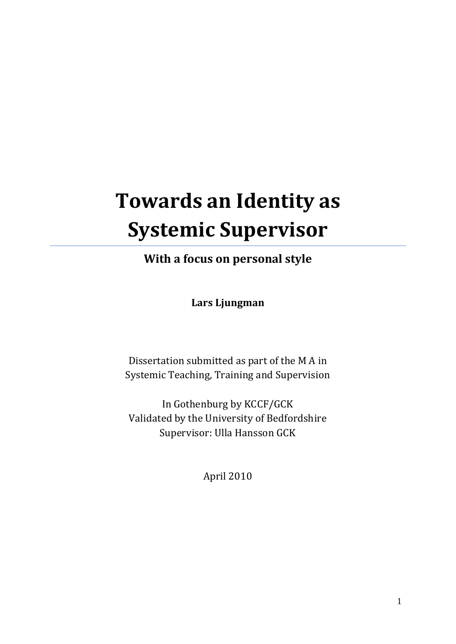# **Towards an Identity as Systemic Supervisor**

**With a focus on personal style**

**Lars Ljungman**

Dissertation submitted as part of the M A in Systemic Teaching, Training and Supervision

In Gothenburg by KCCF/GCK Validated by the University of Bedfordshire Supervisor: Ulla Hansson GCK

April 2010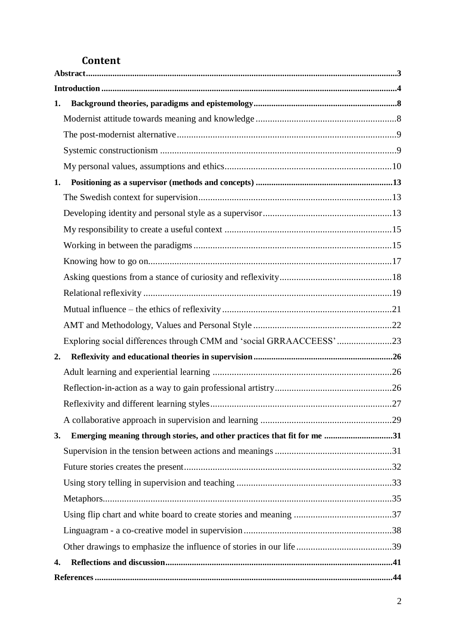# **Content**

| 1.                                                                             |  |
|--------------------------------------------------------------------------------|--|
|                                                                                |  |
|                                                                                |  |
|                                                                                |  |
|                                                                                |  |
| 1.                                                                             |  |
|                                                                                |  |
|                                                                                |  |
|                                                                                |  |
|                                                                                |  |
|                                                                                |  |
|                                                                                |  |
|                                                                                |  |
|                                                                                |  |
|                                                                                |  |
| Exploring social differences through CMM and 'social GRRAACCEESS'23            |  |
| 2.                                                                             |  |
|                                                                                |  |
|                                                                                |  |
|                                                                                |  |
|                                                                                |  |
| Emerging meaning through stories, and other practices that fit for me 31<br>3. |  |
|                                                                                |  |
|                                                                                |  |
|                                                                                |  |
|                                                                                |  |
|                                                                                |  |
|                                                                                |  |
|                                                                                |  |
| 4.                                                                             |  |
|                                                                                |  |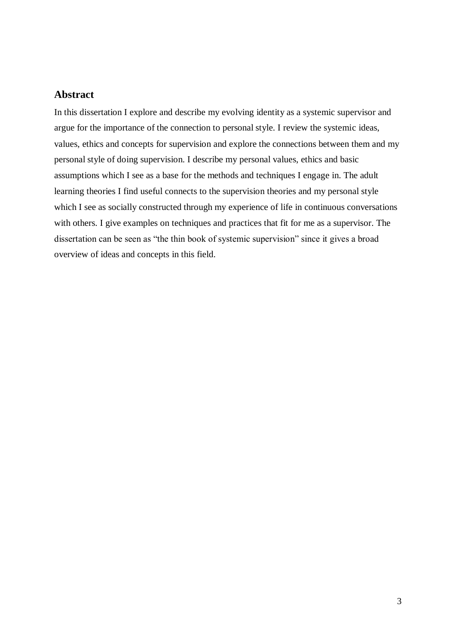# <span id="page-2-0"></span>**Abstract**

In this dissertation I explore and describe my evolving identity as a systemic supervisor and argue for the importance of the connection to personal style. I review the systemic ideas, values, ethics and concepts for supervision and explore the connections between them and my personal style of doing supervision. I describe my personal values, ethics and basic assumptions which I see as a base for the methods and techniques I engage in. The adult learning theories I find useful connects to the supervision theories and my personal style which I see as socially constructed through my experience of life in continuous conversations with others. I give examples on techniques and practices that fit for me as a supervisor. The dissertation can be seen as "the thin book of systemic supervision" since it gives a broad overview of ideas and concepts in this field.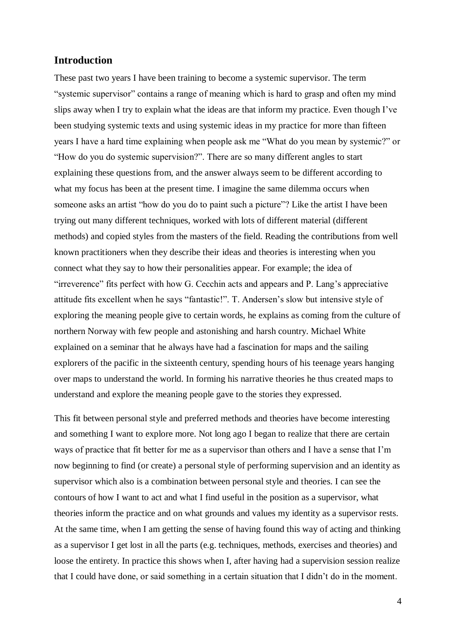# <span id="page-3-0"></span>**Introduction**

These past two years I have been training to become a systemic supervisor. The term "systemic supervisor" contains a range of meaning which is hard to grasp and often my mind slips away when I try to explain what the ideas are that inform my practice. Even though I've been studying systemic texts and using systemic ideas in my practice for more than fifteen years I have a hard time explaining when people ask me "What do you mean by systemic?" or "How do you do systemic supervision?". There are so many different angles to start explaining these questions from, and the answer always seem to be different according to what my focus has been at the present time. I imagine the same dilemma occurs when someone asks an artist "how do you do to paint such a picture"? Like the artist I have been trying out many different techniques, worked with lots of different material (different methods) and copied styles from the masters of the field. Reading the contributions from well known practitioners when they describe their ideas and theories is interesting when you connect what they say to how their personalities appear. For example; the idea of "irreverence" fits perfect with how G. Cecchin acts and appears and P. Lang's appreciative attitude fits excellent when he says "fantastic!". T. Andersen's slow but intensive style of exploring the meaning people give to certain words, he explains as coming from the culture of northern Norway with few people and astonishing and harsh country. Michael White explained on a seminar that he always have had a fascination for maps and the sailing explorers of the pacific in the sixteenth century, spending hours of his teenage years hanging over maps to understand the world. In forming his narrative theories he thus created maps to understand and explore the meaning people gave to the stories they expressed.

This fit between personal style and preferred methods and theories have become interesting and something I want to explore more. Not long ago I began to realize that there are certain ways of practice that fit better for me as a supervisor than others and I have a sense that I'm now beginning to find (or create) a personal style of performing supervision and an identity as supervisor which also is a combination between personal style and theories. I can see the contours of how I want to act and what I find useful in the position as a supervisor, what theories inform the practice and on what grounds and values my identity as a supervisor rests. At the same time, when I am getting the sense of having found this way of acting and thinking as a supervisor I get lost in all the parts (e.g. techniques, methods, exercises and theories) and loose the entirety. In practice this shows when I, after having had a supervision session realize that I could have done, or said something in a certain situation that I didn't do in the moment.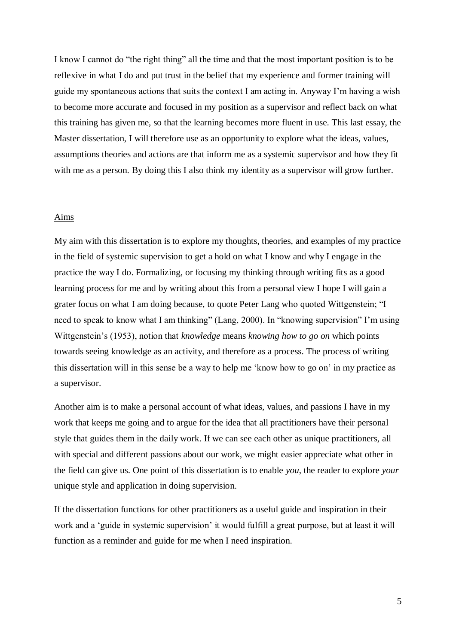I know I cannot do "the right thing" all the time and that the most important position is to be reflexive in what I do and put trust in the belief that my experience and former training will guide my spontaneous actions that suits the context I am acting in. Anyway I'm having a wish to become more accurate and focused in my position as a supervisor and reflect back on what this training has given me, so that the learning becomes more fluent in use. This last essay, the Master dissertation, I will therefore use as an opportunity to explore what the ideas, values, assumptions theories and actions are that inform me as a systemic supervisor and how they fit with me as a person. By doing this I also think my identity as a supervisor will grow further.

#### Aims

My aim with this dissertation is to explore my thoughts, theories, and examples of my practice in the field of systemic supervision to get a hold on what I know and why I engage in the practice the way I do. Formalizing, or focusing my thinking through writing fits as a good learning process for me and by writing about this from a personal view I hope I will gain a grater focus on what I am doing because, to quote Peter Lang who quoted Wittgenstein; "I need to speak to know what I am thinking" (Lang, 2000). In "knowing supervision" I'm using Wittgenstein's (1953), notion that *knowledge* means *knowing how to go on* which points towards seeing knowledge as an activity, and therefore as a process. The process of writing this dissertation will in this sense be a way to help me 'know how to go on' in my practice as a supervisor.

Another aim is to make a personal account of what ideas, values, and passions I have in my work that keeps me going and to argue for the idea that all practitioners have their personal style that guides them in the daily work. If we can see each other as unique practitioners, all with special and different passions about our work, we might easier appreciate what other in the field can give us. One point of this dissertation is to enable *you*, the reader to explore *your* unique style and application in doing supervision.

If the dissertation functions for other practitioners as a useful guide and inspiration in their work and a 'guide in systemic supervision' it would fulfill a great purpose, but at least it will function as a reminder and guide for me when I need inspiration.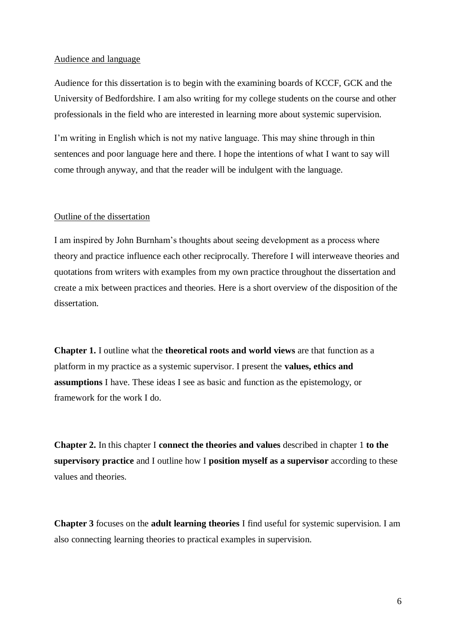#### Audience and language

Audience for this dissertation is to begin with the examining boards of KCCF, GCK and the University of Bedfordshire. I am also writing for my college students on the course and other professionals in the field who are interested in learning more about systemic supervision.

I'm writing in English which is not my native language. This may shine through in thin sentences and poor language here and there. I hope the intentions of what I want to say will come through anyway, and that the reader will be indulgent with the language.

#### Outline of the dissertation

I am inspired by John Burnham's thoughts about seeing development as a process where theory and practice influence each other reciprocally. Therefore I will interweave theories and quotations from writers with examples from my own practice throughout the dissertation and create a mix between practices and theories. Here is a short overview of the disposition of the dissertation.

**Chapter 1.** I outline what the **theoretical roots and world views** are that function as a platform in my practice as a systemic supervisor. I present the **values, ethics and assumptions** I have. These ideas I see as basic and function as the epistemology, or framework for the work I do.

**Chapter 2.** In this chapter I **connect the theories and values** described in chapter 1 **to the supervisory practice** and I outline how I **position myself as a supervisor** according to these values and theories.

**Chapter 3** focuses on the **adult learning theories** I find useful for systemic supervision. I am also connecting learning theories to practical examples in supervision.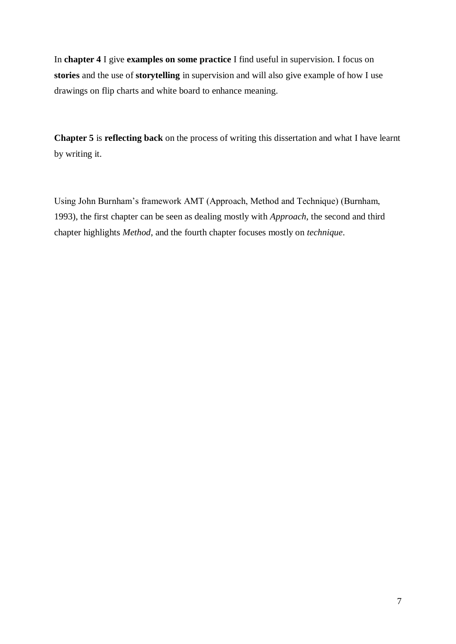In **chapter 4** I give **examples on some practice** I find useful in supervision. I focus on **stories** and the use of **storytelling** in supervision and will also give example of how I use drawings on flip charts and white board to enhance meaning.

**Chapter 5** is **reflecting back** on the process of writing this dissertation and what I have learnt by writing it.

Using John Burnham's framework AMT (Approach, Method and Technique) (Burnham, 1993), the first chapter can be seen as dealing mostly with *Approach*, the second and third chapter highlights *Method*, and the fourth chapter focuses mostly on *technique*.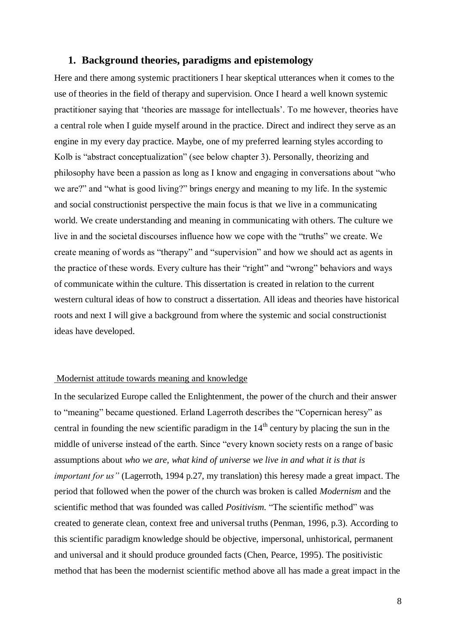# <span id="page-7-0"></span>**1. Background theories, paradigms and epistemology**

Here and there among systemic practitioners I hear skeptical utterances when it comes to the use of theories in the field of therapy and supervision. Once I heard a well known systemic practitioner saying that 'theories are massage for intellectuals'. To me however, theories have a central role when I guide myself around in the practice. Direct and indirect they serve as an engine in my every day practice. Maybe, one of my preferred learning styles according to Kolb is "abstract conceptualization" (see below chapter 3). Personally, theorizing and philosophy have been a passion as long as I know and engaging in conversations about "who we are?" and "what is good living?" brings energy and meaning to my life. In the systemic and social constructionist perspective the main focus is that we live in a communicating world. We create understanding and meaning in communicating with others. The culture we live in and the societal discourses influence how we cope with the "truths" we create. We create meaning of words as "therapy" and "supervision" and how we should act as agents in the practice of these words. Every culture has their "right" and "wrong" behaviors and ways of communicate within the culture. This dissertation is created in relation to the current western cultural ideas of how to construct a dissertation. All ideas and theories have historical roots and next I will give a background from where the systemic and social constructionist ideas have developed.

#### <span id="page-7-1"></span>Modernist attitude towards meaning and knowledge

In the secularized Europe called the Enlightenment, the power of the church and their answer to "meaning" became questioned. Erland Lagerroth describes the "Copernican heresy" as central in founding the new scientific paradigm in the  $14<sup>th</sup>$  century by placing the sun in the middle of universe instead of the earth. Since "every known society rests on a range of basic assumptions about *who we are, what kind of universe we live in and what it is that is important for us"* (Lagerroth, 1994 p.27, my translation) this heresy made a great impact. The period that followed when the power of the church was broken is called *Modernism* and the scientific method that was founded was called *Positivism.* "The scientific method" was created to generate clean, context free and universal truths (Penman, 1996, p.3). According to this scientific paradigm knowledge should be objective, impersonal, unhistorical, permanent and universal and it should produce grounded facts (Chen, Pearce, 1995). The positivistic method that has been the modernist scientific method above all has made a great impact in the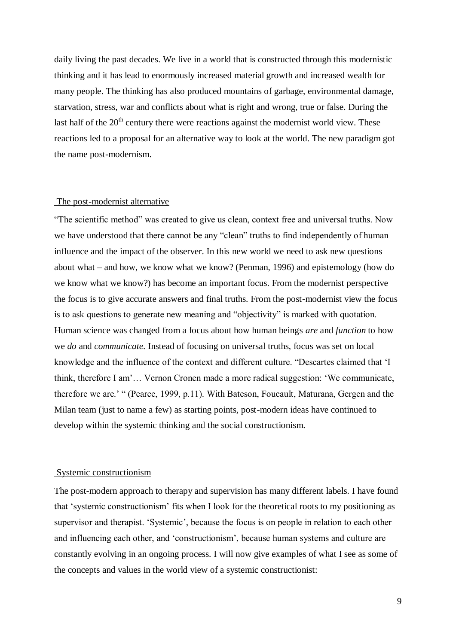daily living the past decades. We live in a world that is constructed through this modernistic thinking and it has lead to enormously increased material growth and increased wealth for many people. The thinking has also produced mountains of garbage, environmental damage, starvation, stress, war and conflicts about what is right and wrong, true or false. During the last half of the  $20<sup>th</sup>$  century there were reactions against the modernist world view. These reactions led to a proposal for an alternative way to look at the world. The new paradigm got the name post-modernism.

#### <span id="page-8-0"></span>The post-modernist alternative

"The scientific method" was created to give us clean, context free and universal truths. Now we have understood that there cannot be any "clean" truths to find independently of human influence and the impact of the observer. In this new world we need to ask new questions about what – and how, we know what we know? (Penman, 1996) and epistemology (how do we know what we know?) has become an important focus. From the modernist perspective the focus is to give accurate answers and final truths. From the post-modernist view the focus is to ask questions to generate new meaning and "objectivity" is marked with quotation. Human science was changed from a focus about how human beings *are* and *function* to how we *do* and *communicate*. Instead of focusing on universal truths, focus was set on local knowledge and the influence of the context and different culture. "Descartes claimed that 'I think, therefore I am'… Vernon Cronen made a more radical suggestion: 'We communicate, therefore we are.' " (Pearce, 1999, p.11). With Bateson, Foucault, Maturana, Gergen and the Milan team (just to name a few) as starting points, post-modern ideas have continued to develop within the systemic thinking and the social constructionism.

#### <span id="page-8-1"></span>Systemic constructionism

The post-modern approach to therapy and supervision has many different labels. I have found that 'systemic constructionism' fits when I look for the theoretical roots to my positioning as supervisor and therapist. 'Systemic', because the focus is on people in relation to each other and influencing each other, and 'constructionism', because human systems and culture are constantly evolving in an ongoing process. I will now give examples of what I see as some of the concepts and values in the world view of a systemic constructionist: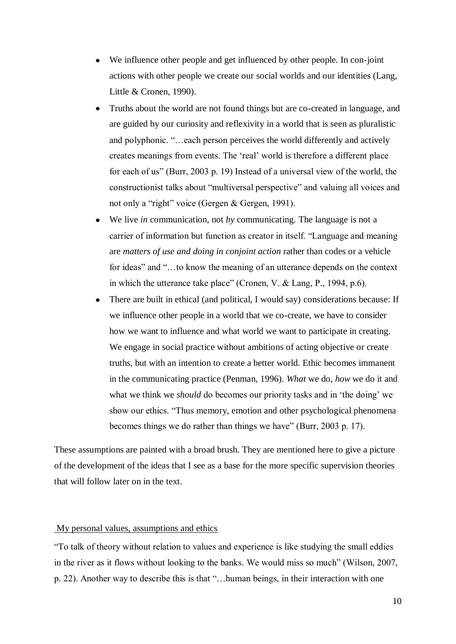- We influence other people and get influenced by other people. In con-joint actions with other people we create our social worlds and our identities (Lang, Little & Cronen, 1990).
- Truths about the world are not found things but are co-created in language, and are guided by our curiosity and reflexivity in a world that is seen as pluralistic and polyphonic. "…each person perceives the world differently and actively creates meanings from events. The 'real' world is therefore a different place for each of us" (Burr, 2003 p. 19) Instead of a universal view of the world, the constructionist talks about "multiversal perspective" and valuing all voices and not only a "right" voice (Gergen & Gergen, 1991).
- We live *in* communication, not *by* communicating. The language is not a carrier of information but function as creator in itself. "Language and meaning are *matters of use and doing in conjoint action* rather than codes or a vehicle for ideas" and "...to know the meaning of an utterance depends on the context in which the utterance take place" (Cronen, V. & Lang, P., 1994, p.6).
- There are built in ethical (and political, I would say) considerations because: If we influence other people in a world that we co-create, we have to consider how we want to influence and what world we want to participate in creating. We engage in social practice without ambitions of acting objective or create truths, but with an intention to create a better world. Ethic becomes immanent in the communicating practice (Penman, 1996). *What* we do, *how* we do it and what we think we *should* do becomes our priority tasks and in 'the doing' we show our ethics. "Thus memory, emotion and other psychological phenomena becomes things we do rather than things we have" (Burr, 2003 p. 17).

These assumptions are painted with a broad brush. They are mentioned here to give a picture of the development of the ideas that I see as a base for the more specific supervision theories that will follow later on in the text.

# <span id="page-9-0"></span>My personal values, assumptions and ethics

"To talk of theory without relation to values and experience is like studying the small eddies in the river as it flows without looking to the banks. We would miss so much" (Wilson, 2007, p. 22). Another way to describe this is that "…human beings, in their interaction with one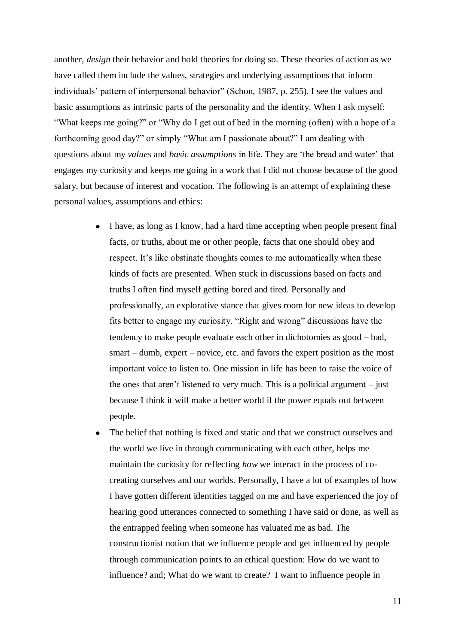another, *design* their behavior and hold theories for doing so. These theories of action as we have called them include the values, strategies and underlying assumptions that inform individuals' pattern of interpersonal behavior" (Schon, 1987, p. 255). I see the values and basic assumptions as intrinsic parts of the personality and the identity. When I ask myself: "What keeps me going?" or "Why do I get out of bed in the morning (often) with a hope of a forthcoming good day?" or simply "What am I passionate about?" I am dealing with questions about my *values* and *basic assumptions* in life. They are 'the bread and water' that engages my curiosity and keeps me going in a work that I did not choose because of the good salary, but because of interest and vocation. The following is an attempt of explaining these personal values, assumptions and ethics:

- I have, as long as I know, had a hard time accepting when people present final facts, or truths, about me or other people, facts that one should obey and respect. It's like obstinate thoughts comes to me automatically when these kinds of facts are presented. When stuck in discussions based on facts and truths I often find myself getting bored and tired. Personally and professionally, an explorative stance that gives room for new ideas to develop fits better to engage my curiosity. "Right and wrong" discussions have the tendency to make people evaluate each other in dichotomies as good – bad, smart – dumb, expert – novice, etc. and favors the expert position as the most important voice to listen to. One mission in life has been to raise the voice of the ones that aren't listened to very much. This is a political argument – just because I think it will make a better world if the power equals out between people.
- The belief that nothing is fixed and static and that we construct ourselves and the world we live in through communicating with each other, helps me maintain the curiosity for reflecting *how* we interact in the process of cocreating ourselves and our worlds. Personally, I have a lot of examples of how I have gotten different identities tagged on me and have experienced the joy of hearing good utterances connected to something I have said or done, as well as the entrapped feeling when someone has valuated me as bad. The constructionist notion that we influence people and get influenced by people through communication points to an ethical question: How do we want to influence? and; What do we want to create? I want to influence people in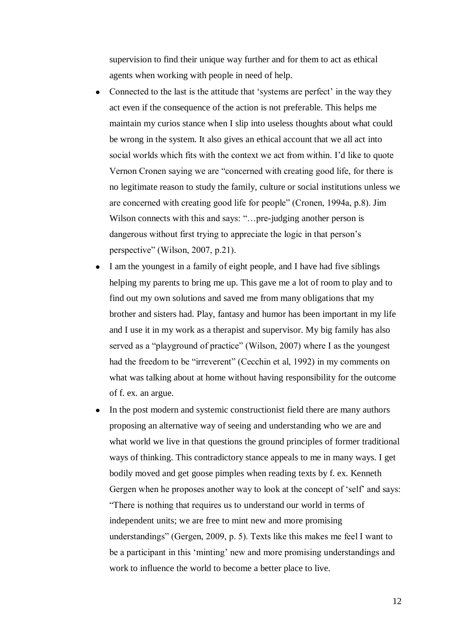supervision to find their unique way further and for them to act as ethical agents when working with people in need of help.

- Connected to the last is the attitude that 'systems are perfect' in the way they act even if the consequence of the action is not preferable. This helps me maintain my curios stance when I slip into useless thoughts about what could be wrong in the system. It also gives an ethical account that we all act into social worlds which fits with the context we act from within. I'd like to quote Vernon Cronen saying we are "concerned with creating good life, for there is no legitimate reason to study the family, culture or social institutions unless we are concerned with creating good life for people" (Cronen, 1994a, p.8). Jim Wilson connects with this and says: "...pre-judging another person is dangerous without first trying to appreciate the logic in that person's perspective" (Wilson, 2007, p.21).
- I am the youngest in a family of eight people, and I have had five siblings helping my parents to bring me up. This gave me a lot of room to play and to find out my own solutions and saved me from many obligations that my brother and sisters had. Play, fantasy and humor has been important in my life and I use it in my work as a therapist and supervisor. My big family has also served as a "playground of practice" (Wilson, 2007) where I as the youngest had the freedom to be "irreverent" (Cecchin et al, 1992) in my comments on what was talking about at home without having responsibility for the outcome of f. ex. an argue.
- In the post modern and systemic constructionist field there are many authors proposing an alternative way of seeing and understanding who we are and what world we live in that questions the ground principles of former traditional ways of thinking. This contradictory stance appeals to me in many ways. I get bodily moved and get goose pimples when reading texts by f. ex. Kenneth Gergen when he proposes another way to look at the concept of 'self' and says: "There is nothing that requires us to understand our world in terms of independent units; we are free to mint new and more promising understandings" (Gergen, 2009, p. 5). Texts like this makes me feel I want to be a participant in this 'minting' new and more promising understandings and work to influence the world to become a better place to live.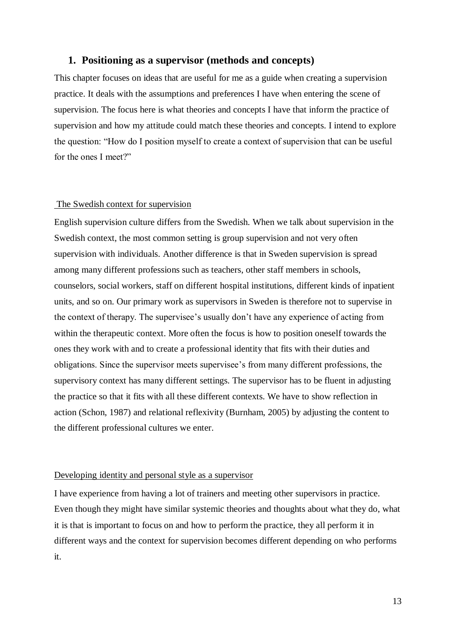# <span id="page-12-0"></span>**1. Positioning as a supervisor (methods and concepts)**

This chapter focuses on ideas that are useful for me as a guide when creating a supervision practice. It deals with the assumptions and preferences I have when entering the scene of supervision. The focus here is what theories and concepts I have that inform the practice of supervision and how my attitude could match these theories and concepts. I intend to explore the question: "How do I position myself to create a context of supervision that can be useful for the ones I meet?"

# <span id="page-12-1"></span>The Swedish context for supervision

English supervision culture differs from the Swedish. When we talk about supervision in the Swedish context, the most common setting is group supervision and not very often supervision with individuals. Another difference is that in Sweden supervision is spread among many different professions such as teachers, other staff members in schools, counselors, social workers, staff on different hospital institutions, different kinds of inpatient units, and so on. Our primary work as supervisors in Sweden is therefore not to supervise in the context of therapy. The supervisee's usually don't have any experience of acting from within the therapeutic context. More often the focus is how to position oneself towards the ones they work with and to create a professional identity that fits with their duties and obligations. Since the supervisor meets supervisee's from many different professions, the supervisory context has many different settings. The supervisor has to be fluent in adjusting the practice so that it fits with all these different contexts. We have to show reflection in action (Schon, 1987) and relational reflexivity (Burnham, 2005) by adjusting the content to the different professional cultures we enter.

#### <span id="page-12-2"></span>Developing identity and personal style as a supervisor

I have experience from having a lot of trainers and meeting other supervisors in practice. Even though they might have similar systemic theories and thoughts about what they do, what it is that is important to focus on and how to perform the practice, they all perform it in different ways and the context for supervision becomes different depending on who performs it.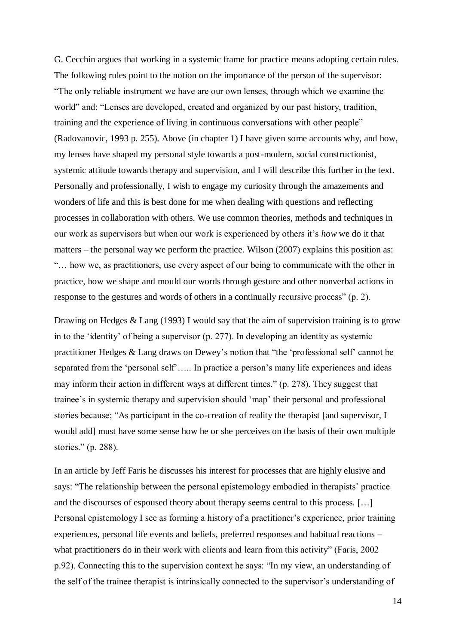G. Cecchin argues that working in a systemic frame for practice means adopting certain rules. The following rules point to the notion on the importance of the person of the supervisor: "The only reliable instrument we have are our own lenses, through which we examine the world" and: "Lenses are developed, created and organized by our past history, tradition, training and the experience of living in continuous conversations with other people" (Radovanovic, 1993 p. 255). Above (in chapter 1) I have given some accounts why, and how, my lenses have shaped my personal style towards a post-modern, social constructionist, systemic attitude towards therapy and supervision, and I will describe this further in the text. Personally and professionally, I wish to engage my curiosity through the amazements and wonders of life and this is best done for me when dealing with questions and reflecting processes in collaboration with others. We use common theories, methods and techniques in our work as supervisors but when our work is experienced by others it's *how* we do it that matters – the personal way we perform the practice. Wilson (2007) explains this position as: "… how we, as practitioners, use every aspect of our being to communicate with the other in practice, how we shape and mould our words through gesture and other nonverbal actions in response to the gestures and words of others in a continually recursive process" (p. 2).

Drawing on Hedges & Lang (1993) I would say that the aim of supervision training is to grow in to the 'identity' of being a supervisor (p. 277). In developing an identity as systemic practitioner Hedges & Lang draws on Dewey's notion that "the 'professional self' cannot be separated from the 'personal self'..... In practice a person's many life experiences and ideas may inform their action in different ways at different times." (p. 278). They suggest that trainee's in systemic therapy and supervision should 'map' their personal and professional stories because; "As participant in the co-creation of reality the therapist [and supervisor, I would add] must have some sense how he or she perceives on the basis of their own multiple stories." (p. 288).

In an article by Jeff Faris he discusses his interest for processes that are highly elusive and says: "The relationship between the personal epistemology embodied in therapists' practice and the discourses of espoused theory about therapy seems central to this process. […] Personal epistemology I see as forming a history of a practitioner's experience, prior training experiences, personal life events and beliefs, preferred responses and habitual reactions – what practitioners do in their work with clients and learn from this activity" (Faris, 2002 p.92). Connecting this to the supervision context he says: "In my view, an understanding of the self of the trainee therapist is intrinsically connected to the supervisor's understanding of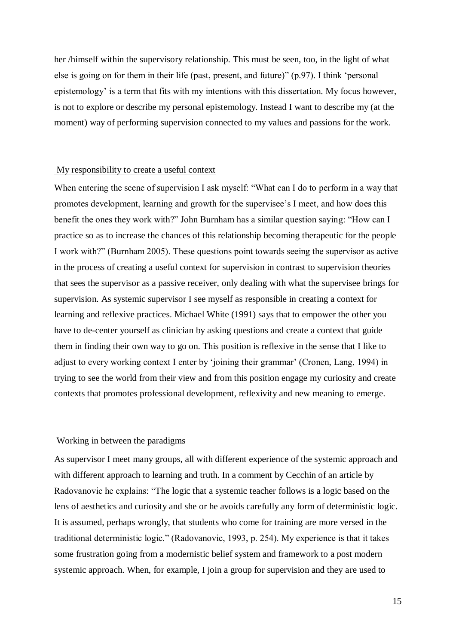her /himself within the supervisory relationship. This must be seen, too, in the light of what else is going on for them in their life (past, present, and future)" (p.97). I think 'personal epistemology' is a term that fits with my intentions with this dissertation. My focus however, is not to explore or describe my personal epistemology. Instead I want to describe my (at the moment) way of performing supervision connected to my values and passions for the work.

#### <span id="page-14-0"></span>My responsibility to create a useful context

When entering the scene of supervision I ask myself: "What can I do to perform in a way that promotes development, learning and growth for the supervisee's I meet, and how does this benefit the ones they work with?" John Burnham has a similar question saying: "How can I practice so as to increase the chances of this relationship becoming therapeutic for the people I work with?" (Burnham 2005). These questions point towards seeing the supervisor as active in the process of creating a useful context for supervision in contrast to supervision theories that sees the supervisor as a passive receiver, only dealing with what the supervisee brings for supervision. As systemic supervisor I see myself as responsible in creating a context for learning and reflexive practices. Michael White (1991) says that to empower the other you have to de-center yourself as clinician by asking questions and create a context that guide them in finding their own way to go on. This position is reflexive in the sense that I like to adjust to every working context I enter by 'joining their grammar' (Cronen, Lang, 1994) in trying to see the world from their view and from this position engage my curiosity and create contexts that promotes professional development, reflexivity and new meaning to emerge.

#### <span id="page-14-1"></span>Working in between the paradigms

As supervisor I meet many groups, all with different experience of the systemic approach and with different approach to learning and truth. In a comment by Cecchin of an article by Radovanovic he explains: "The logic that a systemic teacher follows is a logic based on the lens of aesthetics and curiosity and she or he avoids carefully any form of deterministic logic. It is assumed, perhaps wrongly, that students who come for training are more versed in the traditional deterministic logic." (Radovanovic, 1993, p. 254). My experience is that it takes some frustration going from a modernistic belief system and framework to a post modern systemic approach. When, for example, I join a group for supervision and they are used to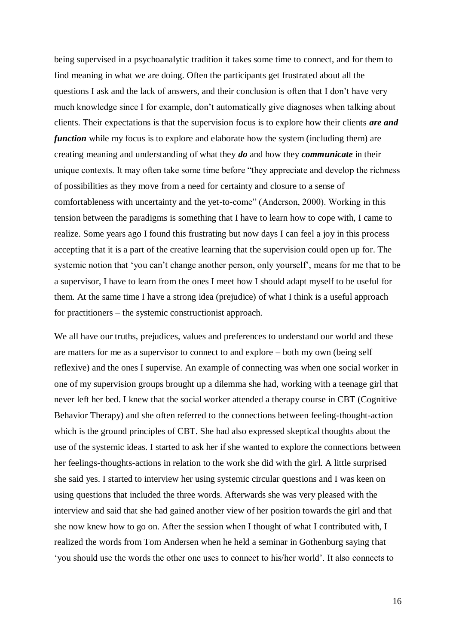being supervised in a psychoanalytic tradition it takes some time to connect, and for them to find meaning in what we are doing. Often the participants get frustrated about all the questions I ask and the lack of answers, and their conclusion is often that I don't have very much knowledge since I for example, don't automatically give diagnoses when talking about clients. Their expectations is that the supervision focus is to explore how their clients *are and function* while my focus is to explore and elaborate how the system (including them) are creating meaning and understanding of what they *do* and how they *communicate* in their unique contexts. It may often take some time before "they appreciate and develop the richness of possibilities as they move from a need for certainty and closure to a sense of comfortableness with uncertainty and the yet-to-come" (Anderson, 2000). Working in this tension between the paradigms is something that I have to learn how to cope with, I came to realize. Some years ago I found this frustrating but now days I can feel a joy in this process accepting that it is a part of the creative learning that the supervision could open up for. The systemic notion that 'you can't change another person, only yourself', means for me that to be a supervisor, I have to learn from the ones I meet how I should adapt myself to be useful for them. At the same time I have a strong idea (prejudice) of what I think is a useful approach for practitioners – the systemic constructionist approach.

We all have our truths, prejudices, values and preferences to understand our world and these are matters for me as a supervisor to connect to and explore – both my own (being self reflexive) and the ones I supervise. An example of connecting was when one social worker in one of my supervision groups brought up a dilemma she had, working with a teenage girl that never left her bed. I knew that the social worker attended a therapy course in CBT (Cognitive Behavior Therapy) and she often referred to the connections between feeling-thought-action which is the ground principles of CBT. She had also expressed skeptical thoughts about the use of the systemic ideas. I started to ask her if she wanted to explore the connections between her feelings-thoughts-actions in relation to the work she did with the girl. A little surprised she said yes. I started to interview her using systemic circular questions and I was keen on using questions that included the three words. Afterwards she was very pleased with the interview and said that she had gained another view of her position towards the girl and that she now knew how to go on. After the session when I thought of what I contributed with, I realized the words from Tom Andersen when he held a seminar in Gothenburg saying that 'you should use the words the other one uses to connect to his/her world'. It also connects to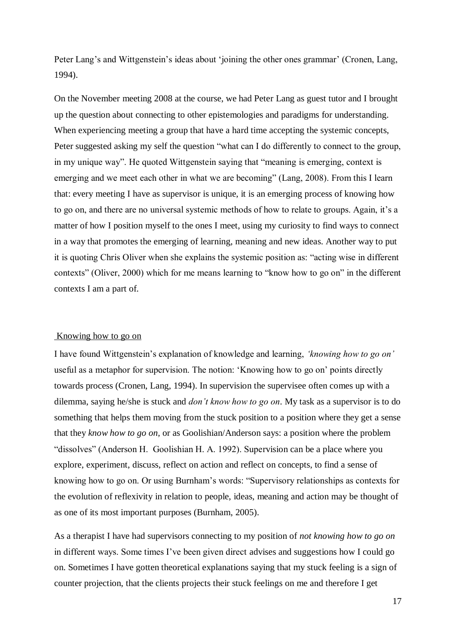Peter Lang's and Wittgenstein's ideas about 'joining the other ones grammar' (Cronen, Lang, 1994).

On the November meeting 2008 at the course, we had Peter Lang as guest tutor and I brought up the question about connecting to other epistemologies and paradigms for understanding. When experiencing meeting a group that have a hard time accepting the systemic concepts, Peter suggested asking my self the question "what can I do differently to connect to the group, in my unique way". He quoted Wittgenstein saying that "meaning is emerging, context is emerging and we meet each other in what we are becoming" (Lang, 2008). From this I learn that: every meeting I have as supervisor is unique, it is an emerging process of knowing how to go on, and there are no universal systemic methods of how to relate to groups. Again, it's a matter of how I position myself to the ones I meet, using my curiosity to find ways to connect in a way that promotes the emerging of learning, meaning and new ideas. Another way to put it is quoting Chris Oliver when she explains the systemic position as: "acting wise in different contexts" (Oliver, 2000) which for me means learning to "know how to go on" in the different contexts I am a part of.

#### <span id="page-16-0"></span>Knowing how to go on

I have found Wittgenstein's explanation of knowledge and learning, *'knowing how to go on'* useful as a metaphor for supervision. The notion: 'Knowing how to go on' points directly towards process (Cronen, Lang, 1994). In supervision the supervisee often comes up with a dilemma, saying he/she is stuck and *don't know how to go on*. My task as a supervisor is to do something that helps them moving from the stuck position to a position where they get a sense that they *know how to go on,* or as Goolishian/Anderson says: a position where the problem "dissolves" (Anderson H. Goolishian H. A. 1992). Supervision can be a place where you explore, experiment, discuss, reflect on action and reflect on concepts, to find a sense of knowing how to go on. Or using Burnham's words: "Supervisory relationships as contexts for the evolution of reflexivity in relation to people, ideas, meaning and action may be thought of as one of its most important purposes (Burnham, 2005).

As a therapist I have had supervisors connecting to my position of *not knowing how to go on* in different ways. Some times I've been given direct advises and suggestions how I could go on. Sometimes I have gotten theoretical explanations saying that my stuck feeling is a sign of counter projection, that the clients projects their stuck feelings on me and therefore I get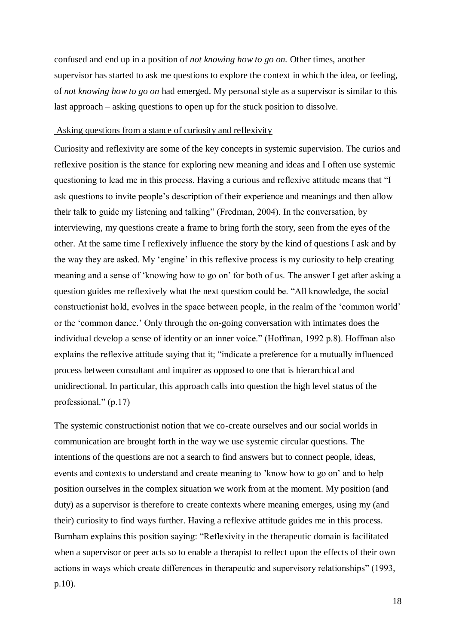confused and end up in a position of *not knowing how to go on.* Other times, another supervisor has started to ask me questions to explore the context in which the idea, or feeling, of *not knowing how to go on* had emerged. My personal style as a supervisor is similar to this last approach – asking questions to open up for the stuck position to dissolve.

#### <span id="page-17-0"></span>Asking questions from a stance of curiosity and reflexivity

Curiosity and reflexivity are some of the key concepts in systemic supervision. The curios and reflexive position is the stance for exploring new meaning and ideas and I often use systemic questioning to lead me in this process. Having a curious and reflexive attitude means that "I ask questions to invite people's description of their experience and meanings and then allow their talk to guide my listening and talking" (Fredman, 2004). In the conversation, by interviewing, my questions create a frame to bring forth the story, seen from the eyes of the other. At the same time I reflexively influence the story by the kind of questions I ask and by the way they are asked. My 'engine' in this reflexive process is my curiosity to help creating meaning and a sense of 'knowing how to go on' for both of us. The answer I get after asking a question guides me reflexively what the next question could be. "All knowledge, the social constructionist hold, evolves in the space between people, in the realm of the 'common world' or the 'common dance.' Only through the on-going conversation with intimates does the individual develop a sense of identity or an inner voice." (Hoffman, 1992 p.8). Hoffman also explains the reflexive attitude saying that it; "indicate a preference for a mutually influenced process between consultant and inquirer as opposed to one that is hierarchical and unidirectional. In particular, this approach calls into question the high level status of the professional." (p.17)

The systemic constructionist notion that we co-create ourselves and our social worlds in communication are brought forth in the way we use systemic circular questions. The intentions of the questions are not a search to find answers but to connect people, ideas, events and contexts to understand and create meaning to 'know how to go on' and to help position ourselves in the complex situation we work from at the moment. My position (and duty) as a supervisor is therefore to create contexts where meaning emerges, using my (and their) curiosity to find ways further. Having a reflexive attitude guides me in this process. Burnham explains this position saying: "Reflexivity in the therapeutic domain is facilitated when a supervisor or peer acts so to enable a therapist to reflect upon the effects of their own actions in ways which create differences in therapeutic and supervisory relationships" (1993, p.10).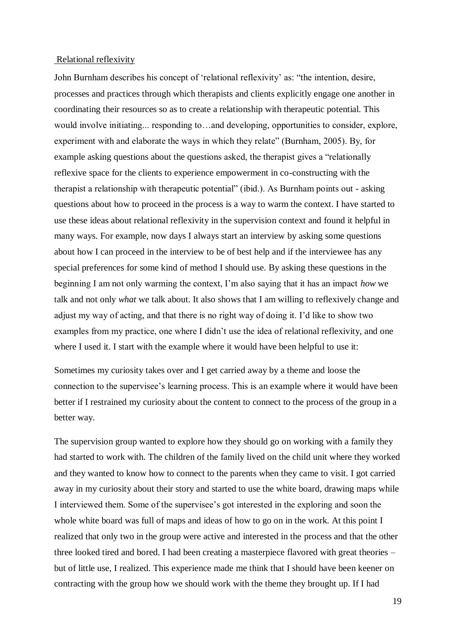#### <span id="page-18-0"></span>Relational reflexivity

John Burnham describes his concept of 'relational reflexivity' as: "the intention, desire, processes and practices through which therapists and clients explicitly engage one another in coordinating their resources so as to create a relationship with therapeutic potential. This would involve initiating... responding to…and developing, opportunities to consider, explore, experiment with and elaborate the ways in which they relate" (Burnham, 2005). By, for example asking questions about the questions asked, the therapist gives a "relationally reflexive space for the clients to experience empowerment in co-constructing with the therapist a relationship with therapeutic potential" (ibid.). As Burnham points out - asking questions about how to proceed in the process is a way to warm the context. I have started to use these ideas about relational reflexivity in the supervision context and found it helpful in many ways. For example, now days I always start an interview by asking some questions about how I can proceed in the interview to be of best help and if the interviewee has any special preferences for some kind of method I should use. By asking these questions in the beginning I am not only warming the context, I'm also saying that it has an impact *how* we talk and not only *what* we talk about. It also shows that I am willing to reflexively change and adjust my way of acting, and that there is no right way of doing it. I'd like to show two examples from my practice, one where I didn't use the idea of relational reflexivity, and one where I used it. I start with the example where it would have been helpful to use it:

Sometimes my curiosity takes over and I get carried away by a theme and loose the connection to the supervisee's learning process. This is an example where it would have been better if I restrained my curiosity about the content to connect to the process of the group in a better way.

The supervision group wanted to explore how they should go on working with a family they had started to work with. The children of the family lived on the child unit where they worked and they wanted to know how to connect to the parents when they came to visit. I got carried away in my curiosity about their story and started to use the white board, drawing maps while I interviewed them. Some of the supervisee's got interested in the exploring and soon the whole white board was full of maps and ideas of how to go on in the work. At this point I realized that only two in the group were active and interested in the process and that the other three looked tired and bored. I had been creating a masterpiece flavored with great theories – but of little use, I realized. This experience made me think that I should have been keener on contracting with the group how we should work with the theme they brought up. If I had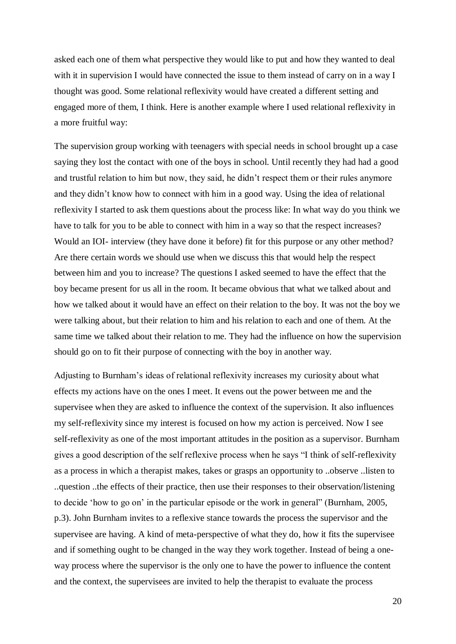asked each one of them what perspective they would like to put and how they wanted to deal with it in supervision I would have connected the issue to them instead of carry on in a way I thought was good. Some relational reflexivity would have created a different setting and engaged more of them, I think. Here is another example where I used relational reflexivity in a more fruitful way:

The supervision group working with teenagers with special needs in school brought up a case saying they lost the contact with one of the boys in school. Until recently they had had a good and trustful relation to him but now, they said, he didn't respect them or their rules anymore and they didn't know how to connect with him in a good way. Using the idea of relational reflexivity I started to ask them questions about the process like: In what way do you think we have to talk for you to be able to connect with him in a way so that the respect increases? Would an IOI- interview (they have done it before) fit for this purpose or any other method? Are there certain words we should use when we discuss this that would help the respect between him and you to increase? The questions I asked seemed to have the effect that the boy became present for us all in the room. It became obvious that what we talked about and how we talked about it would have an effect on their relation to the boy. It was not the boy we were talking about, but their relation to him and his relation to each and one of them. At the same time we talked about their relation to me. They had the influence on how the supervision should go on to fit their purpose of connecting with the boy in another way.

Adjusting to Burnham's ideas of relational reflexivity increases my curiosity about what effects my actions have on the ones I meet. It evens out the power between me and the supervisee when they are asked to influence the context of the supervision. It also influences my self-reflexivity since my interest is focused on how my action is perceived. Now I see self-reflexivity as one of the most important attitudes in the position as a supervisor. Burnham gives a good description of the self reflexive process when he says "I think of self-reflexivity as a process in which a therapist makes, takes or grasps an opportunity to ..observe ..listen to ..question ..the effects of their practice, then use their responses to their observation/listening to decide 'how to go on' in the particular episode or the work in general" (Burnham, 2005, p.3). John Burnham invites to a reflexive stance towards the process the supervisor and the supervisee are having. A kind of meta-perspective of what they do, how it fits the supervisee and if something ought to be changed in the way they work together. Instead of being a oneway process where the supervisor is the only one to have the power to influence the content and the context, the supervisees are invited to help the therapist to evaluate the process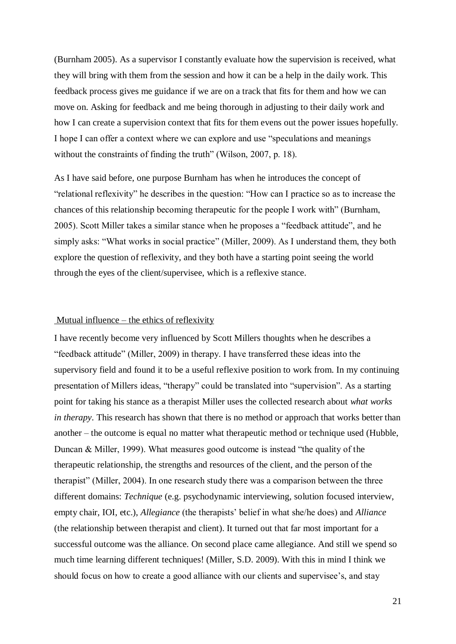(Burnham 2005). As a supervisor I constantly evaluate how the supervision is received, what they will bring with them from the session and how it can be a help in the daily work. This feedback process gives me guidance if we are on a track that fits for them and how we can move on. Asking for feedback and me being thorough in adjusting to their daily work and how I can create a supervision context that fits for them evens out the power issues hopefully. I hope I can offer a context where we can explore and use "speculations and meanings without the constraints of finding the truth" (Wilson, 2007, p. 18).

As I have said before, one purpose Burnham has when he introduces the concept of "relational reflexivity" he describes in the question: "How can I practice so as to increase the chances of this relationship becoming therapeutic for the people I work with" (Burnham, 2005). Scott Miller takes a similar stance when he proposes a "feedback attitude", and he simply asks: "What works in social practice" (Miller, 2009). As I understand them, they both explore the question of reflexivity, and they both have a starting point seeing the world through the eyes of the client/supervisee, which is a reflexive stance.

#### <span id="page-20-0"></span>Mutual influence – the ethics of reflexivity

I have recently become very influenced by Scott Millers thoughts when he describes a "feedback attitude" (Miller, 2009) in therapy. I have transferred these ideas into the supervisory field and found it to be a useful reflexive position to work from. In my continuing presentation of Millers ideas, "therapy" could be translated into "supervision". As a starting point for taking his stance as a therapist Miller uses the collected research about *what works in therapy*. This research has shown that there is no method or approach that works better than another – the outcome is equal no matter what therapeutic method or technique used (Hubble, Duncan & Miller, 1999). What measures good outcome is instead "the quality of the therapeutic relationship, the strengths and resources of the client, and the person of the therapist" (Miller, 2004). In one research study there was a comparison between the three different domains: *Technique* (e.g. psychodynamic interviewing, solution focused interview, empty chair, IOI, etc.), *Allegiance* (the therapists' belief in what she/he does) and *Alliance* (the relationship between therapist and client). It turned out that far most important for a successful outcome was the alliance. On second place came allegiance. And still we spend so much time learning different techniques! (Miller, S.D. 2009). With this in mind I think we should focus on how to create a good alliance with our clients and supervisee's, and stay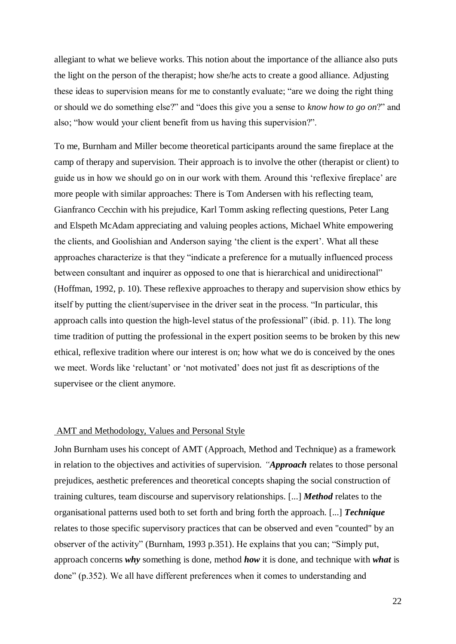allegiant to what we believe works. This notion about the importance of the alliance also puts the light on the person of the therapist; how she/he acts to create a good alliance. Adjusting these ideas to supervision means for me to constantly evaluate; "are we doing the right thing or should we do something else?" and "does this give you a sense to *know how to go on*?" and also; "how would your client benefit from us having this supervision?".

To me, Burnham and Miller become theoretical participants around the same fireplace at the camp of therapy and supervision. Their approach is to involve the other (therapist or client) to guide us in how we should go on in our work with them. Around this 'reflexive fireplace' are more people with similar approaches: There is Tom Andersen with his reflecting team, Gianfranco Cecchin with his prejudice, Karl Tomm asking reflecting questions, Peter Lang and Elspeth McAdam appreciating and valuing peoples actions, Michael White empowering the clients, and Goolishian and Anderson saying 'the client is the expert'. What all these approaches characterize is that they "indicate a preference for a mutually influenced process between consultant and inquirer as opposed to one that is hierarchical and unidirectional" (Hoffman, 1992, p. 10). These reflexive approaches to therapy and supervision show ethics by itself by putting the client/supervisee in the driver seat in the process. "In particular, this approach calls into question the high-level status of the professional" (ibid. p. 11). The long time tradition of putting the professional in the expert position seems to be broken by this new ethical, reflexive tradition where our interest is on; how what we do is conceived by the ones we meet. Words like 'reluctant' or 'not motivated' does not just fit as descriptions of the supervisee or the client anymore.

#### <span id="page-21-0"></span>AMT and Methodology, Values and Personal Style

John Burnham uses his concept of AMT (Approach, Method and Technique) as a framework in relation to the objectives and activities of supervision. *"Approach* relates to those personal prejudices, aesthetic preferences and theoretical concepts shaping the social construction of training cultures, team discourse and supervisory relationships. [...] *Method* relates to the organisational patterns used both to set forth and bring forth the approach. [...] *Technique*  relates to those specific supervisory practices that can be observed and even "counted" by an observer of the activity" (Burnham, 1993 p.351). He explains that you can; "Simply put, approach concerns *why* something is done, method *how* it is done, and technique with *what* is done" (p.352). We all have different preferences when it comes to understanding and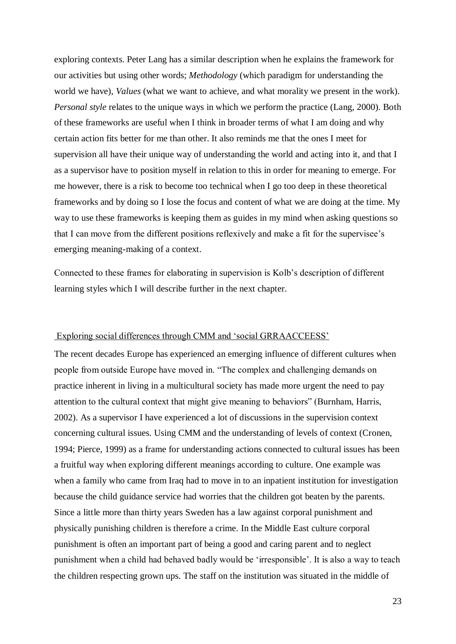exploring contexts. Peter Lang has a similar description when he explains the framework for our activities but using other words; *Methodology* (which paradigm for understanding the world we have), *Values* (what we want to achieve, and what morality we present in the work). *Personal style* relates to the unique ways in which we perform the practice (Lang, 2000). Both of these frameworks are useful when I think in broader terms of what I am doing and why certain action fits better for me than other. It also reminds me that the ones I meet for supervision all have their unique way of understanding the world and acting into it, and that I as a supervisor have to position myself in relation to this in order for meaning to emerge. For me however, there is a risk to become too technical when I go too deep in these theoretical frameworks and by doing so I lose the focus and content of what we are doing at the time. My way to use these frameworks is keeping them as guides in my mind when asking questions so that I can move from the different positions reflexively and make a fit for the supervisee's emerging meaning-making of a context.

Connected to these frames for elaborating in supervision is Kolb's description of different learning styles which I will describe further in the next chapter.

# <span id="page-22-0"></span>Exploring social differences through CMM and 'social GRRAACCEESS'

The recent decades Europe has experienced an emerging influence of different cultures when people from outside Europe have moved in. "The complex and challenging demands on practice inherent in living in a multicultural society has made more urgent the need to pay attention to the cultural context that might give meaning to behaviors" (Burnham, Harris, 2002). As a supervisor I have experienced a lot of discussions in the supervision context concerning cultural issues. Using CMM and the understanding of levels of context (Cronen, 1994; Pierce, 1999) as a frame for understanding actions connected to cultural issues has been a fruitful way when exploring different meanings according to culture. One example was when a family who came from Iraq had to move in to an inpatient institution for investigation because the child guidance service had worries that the children got beaten by the parents. Since a little more than thirty years Sweden has a law against corporal punishment and physically punishing children is therefore a crime. In the Middle East culture corporal punishment is often an important part of being a good and caring parent and to neglect punishment when a child had behaved badly would be 'irresponsible'. It is also a way to teach the children respecting grown ups. The staff on the institution was situated in the middle of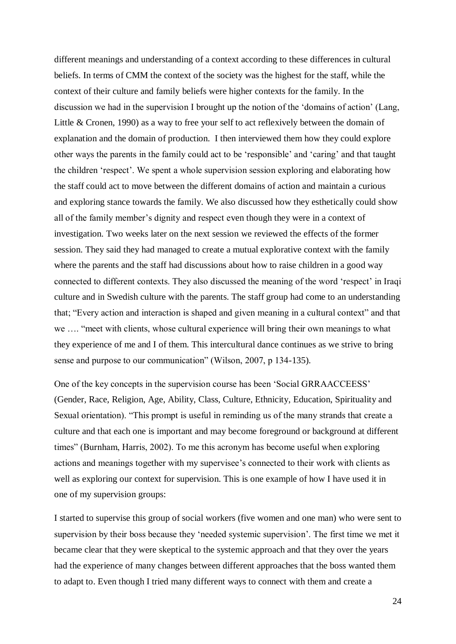different meanings and understanding of a context according to these differences in cultural beliefs. In terms of CMM the context of the society was the highest for the staff, while the context of their culture and family beliefs were higher contexts for the family. In the discussion we had in the supervision I brought up the notion of the 'domains of action' (Lang, Little & Cronen, 1990) as a way to free your self to act reflexively between the domain of explanation and the domain of production. I then interviewed them how they could explore other ways the parents in the family could act to be 'responsible' and 'caring' and that taught the children 'respect'. We spent a whole supervision session exploring and elaborating how the staff could act to move between the different domains of action and maintain a curious and exploring stance towards the family. We also discussed how they esthetically could show all of the family member's dignity and respect even though they were in a context of investigation. Two weeks later on the next session we reviewed the effects of the former session. They said they had managed to create a mutual explorative context with the family where the parents and the staff had discussions about how to raise children in a good way connected to different contexts. They also discussed the meaning of the word 'respect' in Iraqi culture and in Swedish culture with the parents. The staff group had come to an understanding that; "Every action and interaction is shaped and given meaning in a cultural context" and that we …. "meet with clients, whose cultural experience will bring their own meanings to what they experience of me and I of them. This intercultural dance continues as we strive to bring sense and purpose to our communication" (Wilson, 2007, p 134-135).

One of the key concepts in the supervision course has been 'Social GRRAACCEESS' (Gender, Race, Religion, Age, Ability, Class, Culture, Ethnicity, Education, Spirituality and Sexual orientation). "This prompt is useful in reminding us of the many strands that create a culture and that each one is important and may become foreground or background at different times" (Burnham, Harris, 2002). To me this acronym has become useful when exploring actions and meanings together with my supervisee's connected to their work with clients as well as exploring our context for supervision. This is one example of how I have used it in one of my supervision groups:

I started to supervise this group of social workers (five women and one man) who were sent to supervision by their boss because they 'needed systemic supervision'. The first time we met it became clear that they were skeptical to the systemic approach and that they over the years had the experience of many changes between different approaches that the boss wanted them to adapt to. Even though I tried many different ways to connect with them and create a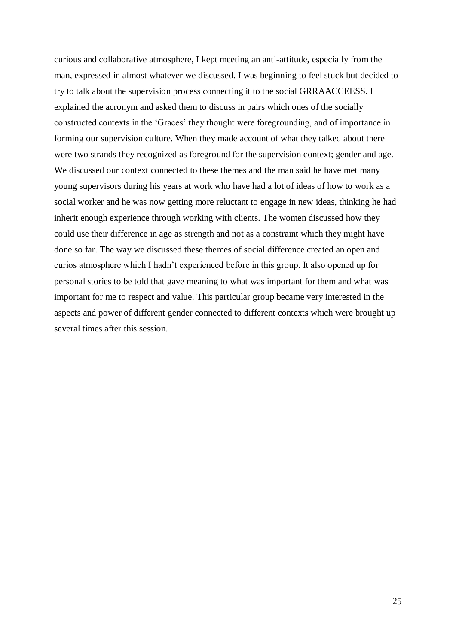curious and collaborative atmosphere, I kept meeting an anti-attitude, especially from the man, expressed in almost whatever we discussed. I was beginning to feel stuck but decided to try to talk about the supervision process connecting it to the social GRRAACCEESS. I explained the acronym and asked them to discuss in pairs which ones of the socially constructed contexts in the 'Graces' they thought were foregrounding, and of importance in forming our supervision culture. When they made account of what they talked about there were two strands they recognized as foreground for the supervision context; gender and age. We discussed our context connected to these themes and the man said he have met many young supervisors during his years at work who have had a lot of ideas of how to work as a social worker and he was now getting more reluctant to engage in new ideas, thinking he had inherit enough experience through working with clients. The women discussed how they could use their difference in age as strength and not as a constraint which they might have done so far. The way we discussed these themes of social difference created an open and curios atmosphere which I hadn't experienced before in this group. It also opened up for personal stories to be told that gave meaning to what was important for them and what was important for me to respect and value. This particular group became very interested in the aspects and power of different gender connected to different contexts which were brought up several times after this session.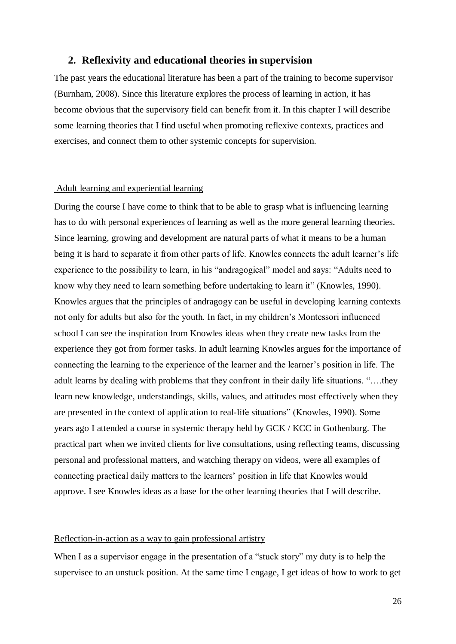# <span id="page-25-0"></span>**2. Reflexivity and educational theories in supervision**

The past years the educational literature has been a part of the training to become supervisor (Burnham, 2008). Since this literature explores the process of learning in action, it has become obvious that the supervisory field can benefit from it. In this chapter I will describe some learning theories that I find useful when promoting reflexive contexts, practices and exercises, and connect them to other systemic concepts for supervision.

#### <span id="page-25-1"></span>Adult learning and experiential learning

During the course I have come to think that to be able to grasp what is influencing learning has to do with personal experiences of learning as well as the more general learning theories. Since learning, growing and development are natural parts of what it means to be a human being it is hard to separate it from other parts of life. Knowles connects the adult learner's life experience to the possibility to learn, in his "andragogical" model and says: "Adults need to know why they need to learn something before undertaking to learn it" (Knowles, 1990). Knowles argues that the principles of andragogy can be useful in developing learning contexts not only for adults but also for the youth. In fact, in my children's Montessori influenced school I can see the inspiration from Knowles ideas when they create new tasks from the experience they got from former tasks. In adult learning Knowles argues for the importance of connecting the learning to the experience of the learner and the learner's position in life. The adult learns by dealing with problems that they confront in their daily life situations. "….they learn new knowledge, understandings, skills, values, and attitudes most effectively when they are presented in the context of application to real-life situations" (Knowles, 1990). Some years ago I attended a course in systemic therapy held by GCK / KCC in Gothenburg. The practical part when we invited clients for live consultations, using reflecting teams, discussing personal and professional matters, and watching therapy on videos, were all examples of connecting practical daily matters to the learners' position in life that Knowles would approve. I see Knowles ideas as a base for the other learning theories that I will describe.

#### <span id="page-25-2"></span>Reflection-in-action as a way to gain professional artistry

When I as a supervisor engage in the presentation of a "stuck story" my duty is to help the supervisee to an unstuck position. At the same time I engage, I get ideas of how to work to get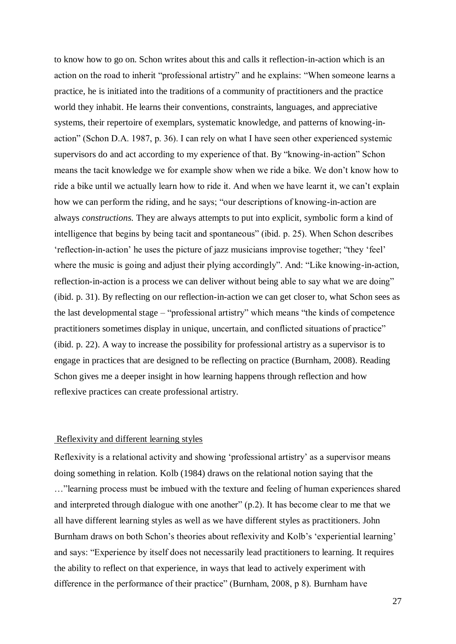to know how to go on. Schon writes about this and calls it reflection-in-action which is an action on the road to inherit "professional artistry" and he explains: "When someone learns a practice, he is initiated into the traditions of a community of practitioners and the practice world they inhabit. He learns their conventions, constraints, languages, and appreciative systems, their repertoire of exemplars, systematic knowledge, and patterns of knowing-inaction" (Schon D.A. 1987, p. 36). I can rely on what I have seen other experienced systemic supervisors do and act according to my experience of that. By "knowing-in-action" Schon means the tacit knowledge we for example show when we ride a bike. We don't know how to ride a bike until we actually learn how to ride it. And when we have learnt it, we can't explain how we can perform the riding, and he says; "our descriptions of knowing-in-action are always *constructions.* They are always attempts to put into explicit, symbolic form a kind of intelligence that begins by being tacit and spontaneous" (ibid. p. 25). When Schon describes 'reflection-in-action' he uses the picture of jazz musicians improvise together; "they 'feel' where the music is going and adjust their plying accordingly". And: "Like knowing-in-action, reflection-in-action is a process we can deliver without being able to say what we are doing" (ibid. p. 31). By reflecting on our reflection-in-action we can get closer to, what Schon sees as the last developmental stage – "professional artistry" which means "the kinds of competence practitioners sometimes display in unique, uncertain, and conflicted situations of practice" (ibid. p. 22). A way to increase the possibility for professional artistry as a supervisor is to engage in practices that are designed to be reflecting on practice (Burnham, 2008). Reading Schon gives me a deeper insight in how learning happens through reflection and how reflexive practices can create professional artistry.

#### <span id="page-26-0"></span>Reflexivity and different learning styles

Reflexivity is a relational activity and showing 'professional artistry' as a supervisor means doing something in relation. Kolb (1984) draws on the relational notion saying that the …"learning process must be imbued with the texture and feeling of human experiences shared and interpreted through dialogue with one another" (p.2). It has become clear to me that we all have different learning styles as well as we have different styles as practitioners. John Burnham draws on both Schon's theories about reflexivity and Kolb's 'experiential learning' and says: "Experience by itself does not necessarily lead practitioners to learning. It requires the ability to reflect on that experience, in ways that lead to actively experiment with difference in the performance of their practice" (Burnham, 2008, p 8). Burnham have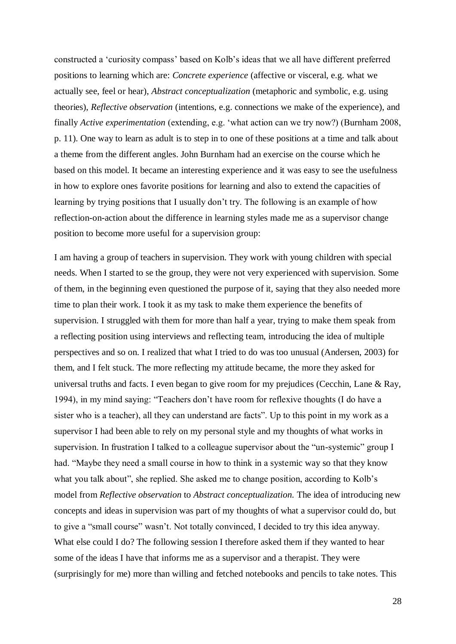constructed a 'curiosity compass' based on Kolb's ideas that we all have different preferred positions to learning which are: *Concrete experience* (affective or visceral, e.g. what we actually see, feel or hear), *Abstract conceptualization* (metaphoric and symbolic, e.g. using theories), *Reflective observation* (intentions, e.g. connections we make of the experience), and finally *Active experimentation* (extending, e.g. 'what action can we try now?) (Burnham 2008, p. 11). One way to learn as adult is to step in to one of these positions at a time and talk about a theme from the different angles. John Burnham had an exercise on the course which he based on this model. It became an interesting experience and it was easy to see the usefulness in how to explore ones favorite positions for learning and also to extend the capacities of learning by trying positions that I usually don't try. The following is an example of how reflection-on-action about the difference in learning styles made me as a supervisor change position to become more useful for a supervision group:

I am having a group of teachers in supervision. They work with young children with special needs. When I started to se the group, they were not very experienced with supervision. Some of them, in the beginning even questioned the purpose of it, saying that they also needed more time to plan their work. I took it as my task to make them experience the benefits of supervision. I struggled with them for more than half a year, trying to make them speak from a reflecting position using interviews and reflecting team, introducing the idea of multiple perspectives and so on. I realized that what I tried to do was too unusual (Andersen, 2003) for them, and I felt stuck. The more reflecting my attitude became, the more they asked for universal truths and facts. I even began to give room for my prejudices (Cecchin, Lane  $\&$  Ray, 1994), in my mind saying: "Teachers don't have room for reflexive thoughts (I do have a sister who is a teacher), all they can understand are facts". Up to this point in my work as a supervisor I had been able to rely on my personal style and my thoughts of what works in supervision. In frustration I talked to a colleague supervisor about the "un-systemic" group I had. "Maybe they need a small course in how to think in a systemic way so that they know what you talk about", she replied. She asked me to change position, according to Kolb's model from *Reflective observation* to *Abstract conceptualization.* The idea of introducing new concepts and ideas in supervision was part of my thoughts of what a supervisor could do, but to give a "small course" wasn't. Not totally convinced, I decided to try this idea anyway. What else could I do? The following session I therefore asked them if they wanted to hear some of the ideas I have that informs me as a supervisor and a therapist. They were (surprisingly for me) more than willing and fetched notebooks and pencils to take notes. This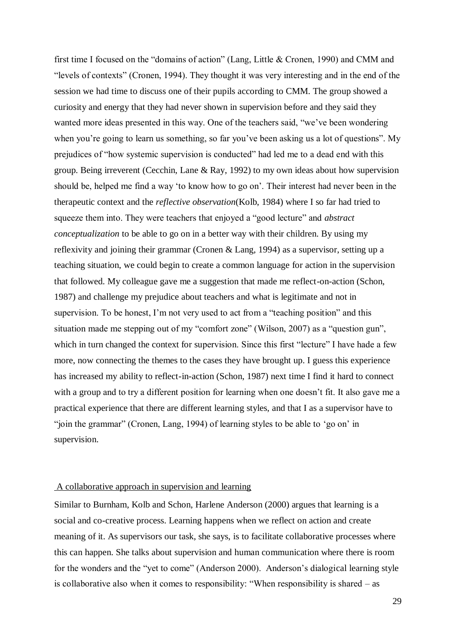first time I focused on the "domains of action" (Lang, Little & Cronen, 1990) and CMM and "levels of contexts" (Cronen, 1994). They thought it was very interesting and in the end of the session we had time to discuss one of their pupils according to CMM. The group showed a curiosity and energy that they had never shown in supervision before and they said they wanted more ideas presented in this way. One of the teachers said, "we've been wondering when you're going to learn us something, so far you've been asking us a lot of questions". My prejudices of "how systemic supervision is conducted" had led me to a dead end with this group. Being irreverent (Cecchin, Lane & Ray, 1992) to my own ideas about how supervision should be, helped me find a way 'to know how to go on'. Their interest had never been in the therapeutic context and the *reflective observation*(Kolb, 1984) where I so far had tried to squeeze them into. They were teachers that enjoyed a "good lecture" and *abstract conceptualization* to be able to go on in a better way with their children. By using my reflexivity and joining their grammar (Cronen & Lang, 1994) as a supervisor, setting up a teaching situation, we could begin to create a common language for action in the supervision that followed. My colleague gave me a suggestion that made me reflect-on-action (Schon, 1987) and challenge my prejudice about teachers and what is legitimate and not in supervision. To be honest, I'm not very used to act from a "teaching position" and this situation made me stepping out of my "comfort zone" (Wilson, 2007) as a "question gun", which in turn changed the context for supervision. Since this first "lecture" I have hade a few more, now connecting the themes to the cases they have brought up. I guess this experience has increased my ability to reflect-in-action (Schon, 1987) next time I find it hard to connect with a group and to try a different position for learning when one doesn't fit. It also gave me a practical experience that there are different learning styles, and that I as a supervisor have to "join the grammar" (Cronen, Lang, 1994) of learning styles to be able to 'go on' in supervision.

#### <span id="page-28-0"></span>A collaborative approach in supervision and learning

Similar to Burnham, Kolb and Schon, Harlene Anderson (2000) argues that learning is a social and co-creative process. Learning happens when we reflect on action and create meaning of it. As supervisors our task, she says, is to facilitate collaborative processes where this can happen. She talks about supervision and human communication where there is room for the wonders and the "yet to come" (Anderson 2000). Anderson's dialogical learning style is collaborative also when it comes to responsibility: "When responsibility is shared – as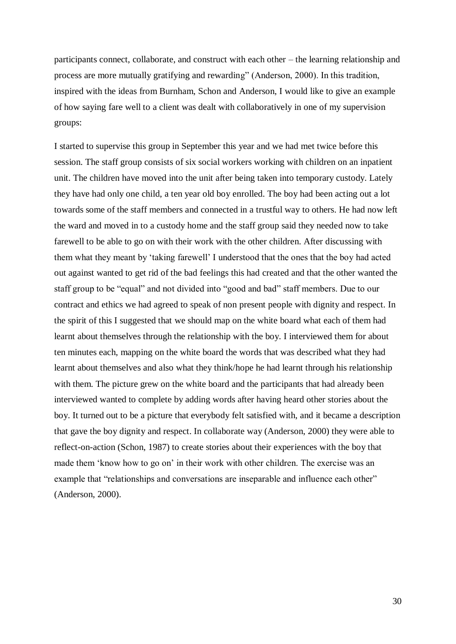participants connect, collaborate, and construct with each other – the learning relationship and process are more mutually gratifying and rewarding" (Anderson, 2000). In this tradition, inspired with the ideas from Burnham, Schon and Anderson, I would like to give an example of how saying fare well to a client was dealt with collaboratively in one of my supervision groups:

I started to supervise this group in September this year and we had met twice before this session. The staff group consists of six social workers working with children on an inpatient unit. The children have moved into the unit after being taken into temporary custody. Lately they have had only one child, a ten year old boy enrolled. The boy had been acting out a lot towards some of the staff members and connected in a trustful way to others. He had now left the ward and moved in to a custody home and the staff group said they needed now to take farewell to be able to go on with their work with the other children. After discussing with them what they meant by 'taking farewell' I understood that the ones that the boy had acted out against wanted to get rid of the bad feelings this had created and that the other wanted the staff group to be "equal" and not divided into "good and bad" staff members. Due to our contract and ethics we had agreed to speak of non present people with dignity and respect. In the spirit of this I suggested that we should map on the white board what each of them had learnt about themselves through the relationship with the boy. I interviewed them for about ten minutes each, mapping on the white board the words that was described what they had learnt about themselves and also what they think/hope he had learnt through his relationship with them. The picture grew on the white board and the participants that had already been interviewed wanted to complete by adding words after having heard other stories about the boy. It turned out to be a picture that everybody felt satisfied with, and it became a description that gave the boy dignity and respect. In collaborate way (Anderson, 2000) they were able to reflect-on-action (Schon, 1987) to create stories about their experiences with the boy that made them 'know how to go on' in their work with other children. The exercise was an example that "relationships and conversations are inseparable and influence each other" (Anderson, 2000).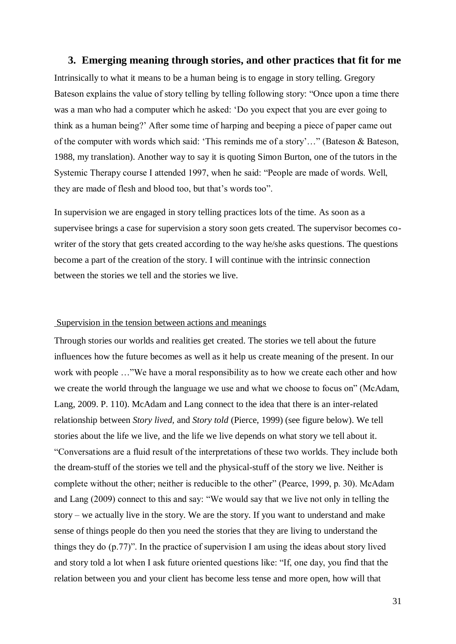# <span id="page-30-0"></span>**3. Emerging meaning through stories, and other practices that fit for me**

Intrinsically to what it means to be a human being is to engage in story telling. Gregory Bateson explains the value of story telling by telling following story: "Once upon a time there was a man who had a computer which he asked: 'Do you expect that you are ever going to think as a human being?' After some time of harping and beeping a piece of paper came out of the computer with words which said: 'This reminds me of a story'…" (Bateson & Bateson, 1988, my translation). Another way to say it is quoting Simon Burton, one of the tutors in the Systemic Therapy course I attended 1997, when he said: "People are made of words. Well, they are made of flesh and blood too, but that's words too".

In supervision we are engaged in story telling practices lots of the time. As soon as a supervisee brings a case for supervision a story soon gets created. The supervisor becomes cowriter of the story that gets created according to the way he/she asks questions. The questions become a part of the creation of the story. I will continue with the intrinsic connection between the stories we tell and the stories we live.

# <span id="page-30-1"></span>Supervision in the tension between actions and meanings

Through stories our worlds and realities get created. The stories we tell about the future influences how the future becomes as well as it help us create meaning of the present. In our work with people …"We have a moral responsibility as to how we create each other and how we create the world through the language we use and what we choose to focus on" (McAdam, Lang, 2009. P. 110). McAdam and Lang connect to the idea that there is an inter-related relationship between *Story lived,* and *Story told* (Pierce, 1999) (see figure below). We tell stories about the life we live, and the life we live depends on what story we tell about it. "Conversations are a fluid result of the interpretations of these two worlds. They include both the dream-stuff of the stories we tell and the physical-stuff of the story we live. Neither is complete without the other; neither is reducible to the other" (Pearce, 1999, p. 30). McAdam and Lang (2009) connect to this and say: "We would say that we live not only in telling the story – we actually live in the story. We are the story. If you want to understand and make sense of things people do then you need the stories that they are living to understand the things they do (p.77)". In the practice of supervision I am using the ideas about story lived and story told a lot when I ask future oriented questions like: "If, one day, you find that the relation between you and your client has become less tense and more open, how will that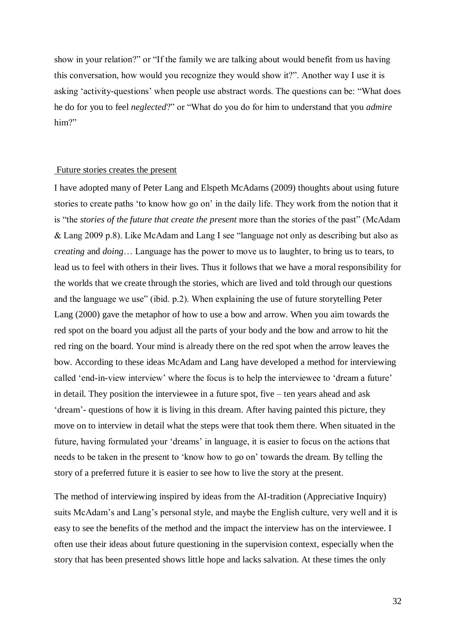show in your relation?" or "If the family we are talking about would benefit from us having this conversation, how would you recognize they would show it?". Another way I use it is asking 'activity-questions' when people use abstract words. The questions can be: "What does he do for you to feel *neglected*?" or "What do you do for him to understand that you *admire* him?"

#### <span id="page-31-0"></span>Future stories creates the present

I have adopted many of Peter Lang and Elspeth McAdams (2009) thoughts about using future stories to create paths 'to know how go on' in the daily life. They work from the notion that it is "the *stories of the future that create the present* more than the stories of the past" (McAdam & Lang 2009 p.8). Like McAdam and Lang I see "language not only as describing but also as *creating* and *doing*… Language has the power to move us to laughter, to bring us to tears, to lead us to feel with others in their lives. Thus it follows that we have a moral responsibility for the worlds that we create through the stories, which are lived and told through our questions and the language we use" (ibid. p.2). When explaining the use of future storytelling Peter Lang (2000) gave the metaphor of how to use a bow and arrow. When you aim towards the red spot on the board you adjust all the parts of your body and the bow and arrow to hit the red ring on the board. Your mind is already there on the red spot when the arrow leaves the bow. According to these ideas McAdam and Lang have developed a method for interviewing called 'end-in-view interview' where the focus is to help the interviewee to 'dream a future' in detail. They position the interviewee in a future spot, five – ten years ahead and ask 'dream'- questions of how it is living in this dream. After having painted this picture, they move on to interview in detail what the steps were that took them there. When situated in the future, having formulated your 'dreams' in language, it is easier to focus on the actions that needs to be taken in the present to 'know how to go on' towards the dream. By telling the story of a preferred future it is easier to see how to live the story at the present.

The method of interviewing inspired by ideas from the AI-tradition (Appreciative Inquiry) suits McAdam's and Lang's personal style, and maybe the English culture, very well and it is easy to see the benefits of the method and the impact the interview has on the interviewee. I often use their ideas about future questioning in the supervision context, especially when the story that has been presented shows little hope and lacks salvation. At these times the only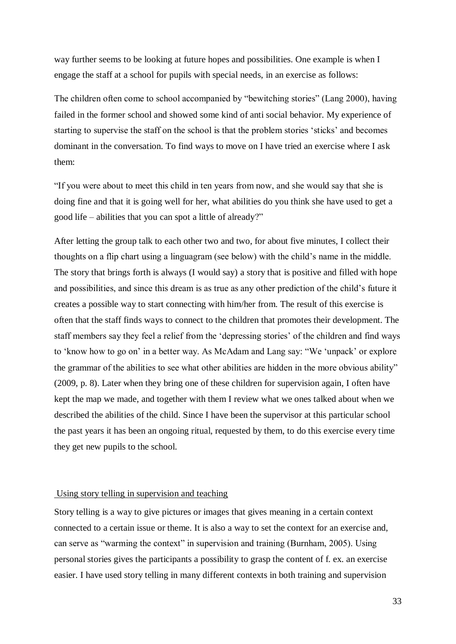way further seems to be looking at future hopes and possibilities. One example is when I engage the staff at a school for pupils with special needs, in an exercise as follows:

The children often come to school accompanied by "bewitching stories" (Lang 2000), having failed in the former school and showed some kind of anti social behavior. My experience of starting to supervise the staff on the school is that the problem stories 'sticks' and becomes dominant in the conversation. To find ways to move on I have tried an exercise where I ask them:

"If you were about to meet this child in ten years from now, and she would say that she is doing fine and that it is going well for her, what abilities do you think she have used to get a good life – abilities that you can spot a little of already?"

After letting the group talk to each other two and two, for about five minutes, I collect their thoughts on a flip chart using a linguagram (see below) with the child's name in the middle. The story that brings forth is always (I would say) a story that is positive and filled with hope and possibilities, and since this dream is as true as any other prediction of the child's future it creates a possible way to start connecting with him/her from. The result of this exercise is often that the staff finds ways to connect to the children that promotes their development. The staff members say they feel a relief from the 'depressing stories' of the children and find ways to 'know how to go on' in a better way. As McAdam and Lang say: "We 'unpack' or explore the grammar of the abilities to see what other abilities are hidden in the more obvious ability" (2009, p. 8). Later when they bring one of these children for supervision again, I often have kept the map we made, and together with them I review what we ones talked about when we described the abilities of the child. Since I have been the supervisor at this particular school the past years it has been an ongoing ritual, requested by them, to do this exercise every time they get new pupils to the school.

# <span id="page-32-0"></span>Using story telling in supervision and teaching

Story telling is a way to give pictures or images that gives meaning in a certain context connected to a certain issue or theme. It is also a way to set the context for an exercise and, can serve as "warming the context" in supervision and training (Burnham, 2005). Using personal stories gives the participants a possibility to grasp the content of f. ex. an exercise easier. I have used story telling in many different contexts in both training and supervision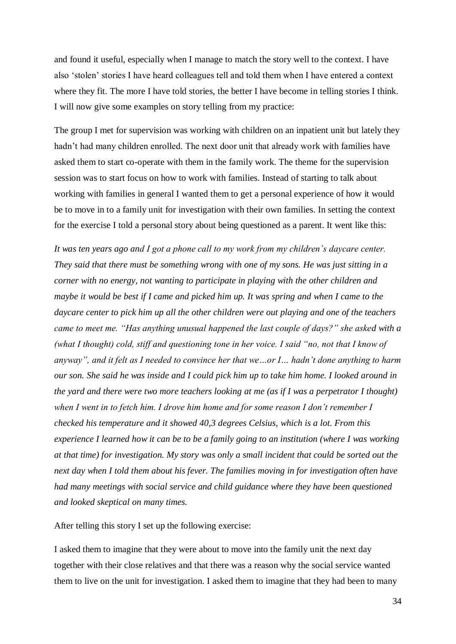and found it useful, especially when I manage to match the story well to the context. I have also 'stolen' stories I have heard colleagues tell and told them when I have entered a context where they fit. The more I have told stories, the better I have become in telling stories I think. I will now give some examples on story telling from my practice:

The group I met for supervision was working with children on an inpatient unit but lately they hadn't had many children enrolled. The next door unit that already work with families have asked them to start co-operate with them in the family work. The theme for the supervision session was to start focus on how to work with families. Instead of starting to talk about working with families in general I wanted them to get a personal experience of how it would be to move in to a family unit for investigation with their own families. In setting the context for the exercise I told a personal story about being questioned as a parent. It went like this:

*It was ten years ago and I got a phone call to my work from my children's daycare center. They said that there must be something wrong with one of my sons. He was just sitting in a corner with no energy, not wanting to participate in playing with the other children and maybe it would be best if I came and picked him up. It was spring and when I came to the daycare center to pick him up all the other children were out playing and one of the teachers came to meet me. "Has anything unusual happened the last couple of days?" she asked with a (what I thought) cold, stiff and questioning tone in her voice. I said "no, not that I know of anyway", and it felt as I needed to convince her that we…or I… hadn't done anything to harm our son. She said he was inside and I could pick him up to take him home. I looked around in the yard and there were two more teachers looking at me (as if I was a perpetrator I thought) when I went in to fetch him. I drove him home and for some reason I don't remember I checked his temperature and it showed 40,3 degrees Celsius, which is a lot. From this experience I learned how it can be to be a family going to an institution (where I was working at that time) for investigation. My story was only a small incident that could be sorted out the next day when I told them about his fever. The families moving in for investigation often have had many meetings with social service and child guidance where they have been questioned and looked skeptical on many times.*

After telling this story I set up the following exercise:

I asked them to imagine that they were about to move into the family unit the next day together with their close relatives and that there was a reason why the social service wanted them to live on the unit for investigation. I asked them to imagine that they had been to many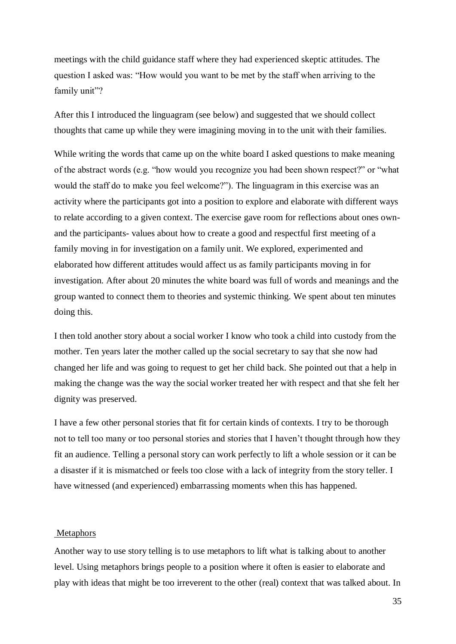meetings with the child guidance staff where they had experienced skeptic attitudes. The question I asked was: "How would you want to be met by the staff when arriving to the family unit"?

After this I introduced the linguagram (see below) and suggested that we should collect thoughts that came up while they were imagining moving in to the unit with their families.

While writing the words that came up on the white board I asked questions to make meaning of the abstract words (e.g. "how would you recognize you had been shown respect?" or "what would the staff do to make you feel welcome?"). The linguagram in this exercise was an activity where the participants got into a position to explore and elaborate with different ways to relate according to a given context. The exercise gave room for reflections about ones ownand the participants- values about how to create a good and respectful first meeting of a family moving in for investigation on a family unit. We explored, experimented and elaborated how different attitudes would affect us as family participants moving in for investigation. After about 20 minutes the white board was full of words and meanings and the group wanted to connect them to theories and systemic thinking. We spent about ten minutes doing this.

I then told another story about a social worker I know who took a child into custody from the mother. Ten years later the mother called up the social secretary to say that she now had changed her life and was going to request to get her child back. She pointed out that a help in making the change was the way the social worker treated her with respect and that she felt her dignity was preserved.

I have a few other personal stories that fit for certain kinds of contexts. I try to be thorough not to tell too many or too personal stories and stories that I haven't thought through how they fit an audience. Telling a personal story can work perfectly to lift a whole session or it can be a disaster if it is mismatched or feels too close with a lack of integrity from the story teller. I have witnessed (and experienced) embarrassing moments when this has happened.

#### <span id="page-34-0"></span>**Metaphors**

Another way to use story telling is to use metaphors to lift what is talking about to another level. Using metaphors brings people to a position where it often is easier to elaborate and play with ideas that might be too irreverent to the other (real) context that was talked about. In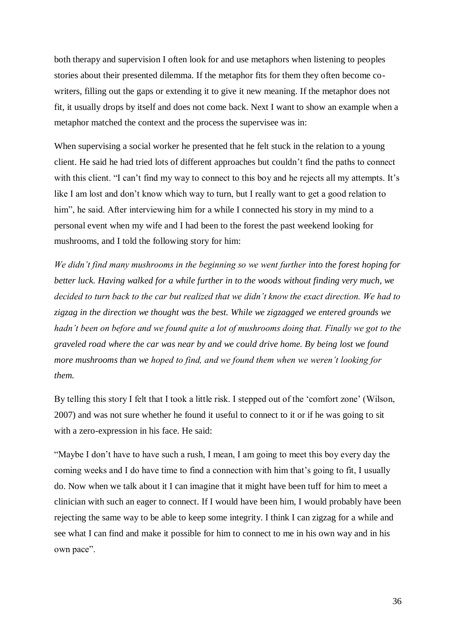both therapy and supervision I often look for and use metaphors when listening to peoples stories about their presented dilemma. If the metaphor fits for them they often become cowriters, filling out the gaps or extending it to give it new meaning. If the metaphor does not fit, it usually drops by itself and does not come back. Next I want to show an example when a metaphor matched the context and the process the supervisee was in:

When supervising a social worker he presented that he felt stuck in the relation to a young client. He said he had tried lots of different approaches but couldn't find the paths to connect with this client. "I can't find my way to connect to this boy and he rejects all my attempts. It's like I am lost and don't know which way to turn, but I really want to get a good relation to him", he said. After interviewing him for a while I connected his story in my mind to a personal event when my wife and I had been to the forest the past weekend looking for mushrooms, and I told the following story for him:

*We didn't find many mushrooms in the beginning so we went further into the forest hoping for better luck. Having walked for a while further in to the woods without finding very much, we decided to turn back to the car but realized that we didn't know the exact direction. We had to zigzag in the direction we thought was the best. While we zigzagged we entered grounds we hadn't been on before and we found quite a lot of mushrooms doing that. Finally we got to the graveled road where the car was near by and we could drive home. By being lost we found more mushrooms than we hoped to find, and we found them when we weren't looking for them.* 

By telling this story I felt that I took a little risk. I stepped out of the 'comfort zone' (Wilson, 2007) and was not sure whether he found it useful to connect to it or if he was going to sit with a zero-expression in his face. He said:

"Maybe I don't have to have such a rush, I mean, I am going to meet this boy every day the coming weeks and I do have time to find a connection with him that's going to fit, I usually do. Now when we talk about it I can imagine that it might have been tuff for him to meet a clinician with such an eager to connect. If I would have been him, I would probably have been rejecting the same way to be able to keep some integrity. I think I can zigzag for a while and see what I can find and make it possible for him to connect to me in his own way and in his own pace".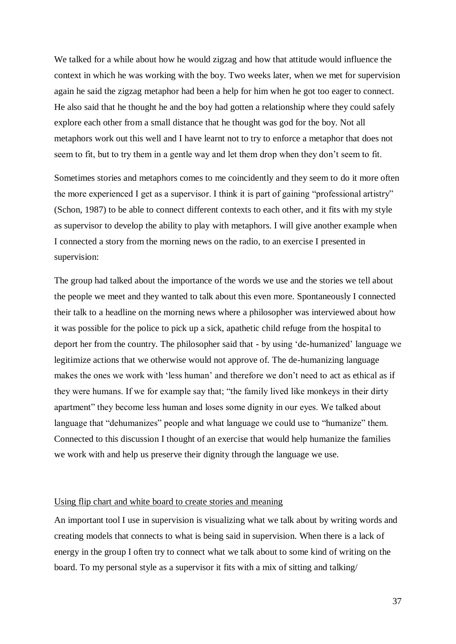We talked for a while about how he would zigzag and how that attitude would influence the context in which he was working with the boy. Two weeks later, when we met for supervision again he said the zigzag metaphor had been a help for him when he got too eager to connect. He also said that he thought he and the boy had gotten a relationship where they could safely explore each other from a small distance that he thought was god for the boy. Not all metaphors work out this well and I have learnt not to try to enforce a metaphor that does not seem to fit, but to try them in a gentle way and let them drop when they don't seem to fit.

Sometimes stories and metaphors comes to me coincidently and they seem to do it more often the more experienced I get as a supervisor. I think it is part of gaining "professional artistry" (Schon, 1987) to be able to connect different contexts to each other, and it fits with my style as supervisor to develop the ability to play with metaphors. I will give another example when I connected a story from the morning news on the radio, to an exercise I presented in supervision:

The group had talked about the importance of the words we use and the stories we tell about the people we meet and they wanted to talk about this even more. Spontaneously I connected their talk to a headline on the morning news where a philosopher was interviewed about how it was possible for the police to pick up a sick, apathetic child refuge from the hospital to deport her from the country. The philosopher said that - by using 'de-humanized' language we legitimize actions that we otherwise would not approve of. The de-humanizing language makes the ones we work with 'less human' and therefore we don't need to act as ethical as if they were humans. If we for example say that; "the family lived like monkeys in their dirty apartment" they become less human and loses some dignity in our eyes. We talked about language that "dehumanizes" people and what language we could use to "humanize" them. Connected to this discussion I thought of an exercise that would help humanize the families we work with and help us preserve their dignity through the language we use.

#### <span id="page-36-0"></span>Using flip chart and white board to create stories and meaning

An important tool I use in supervision is visualizing what we talk about by writing words and creating models that connects to what is being said in supervision. When there is a lack of energy in the group I often try to connect what we talk about to some kind of writing on the board. To my personal style as a supervisor it fits with a mix of sitting and talking/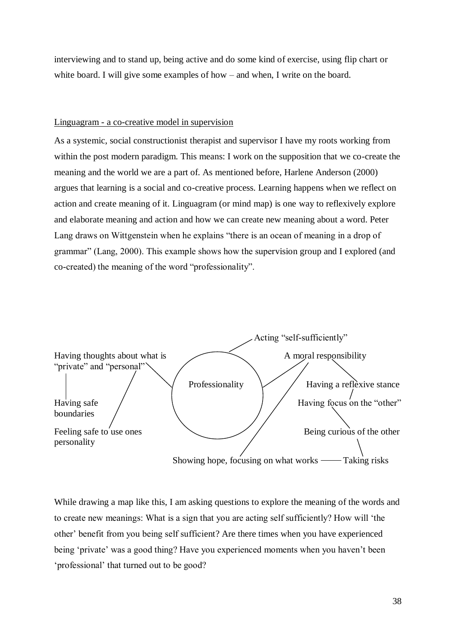interviewing and to stand up, being active and do some kind of exercise, using flip chart or white board. I will give some examples of how – and when, I write on the board.

#### <span id="page-37-0"></span>Linguagram - a co-creative model in supervision

As a systemic, social constructionist therapist and supervisor I have my roots working from within the post modern paradigm. This means: I work on the supposition that we co-create the meaning and the world we are a part of. As mentioned before, Harlene Anderson (2000) argues that learning is a social and co-creative process. Learning happens when we reflect on action and create meaning of it. Linguagram (or mind map) is one way to reflexively explore and elaborate meaning and action and how we can create new meaning about a word. Peter Lang draws on Wittgenstein when he explains "there is an ocean of meaning in a drop of grammar" (Lang, 2000). This example shows how the supervision group and I explored (and co-created) the meaning of the word "professionality".



While drawing a map like this, I am asking questions to explore the meaning of the words and to create new meanings: What is a sign that you are acting self sufficiently? How will 'the other' benefit from you being self sufficient? Are there times when you have experienced being 'private' was a good thing? Have you experienced moments when you haven't been 'professional' that turned out to be good?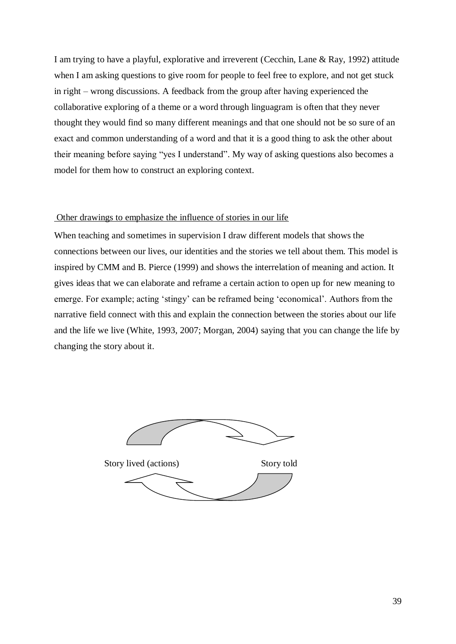I am trying to have a playful, explorative and irreverent (Cecchin, Lane & Ray, 1992) attitude when I am asking questions to give room for people to feel free to explore, and not get stuck in right – wrong discussions. A feedback from the group after having experienced the collaborative exploring of a theme or a word through linguagram is often that they never thought they would find so many different meanings and that one should not be so sure of an exact and common understanding of a word and that it is a good thing to ask the other about their meaning before saying "yes I understand". My way of asking questions also becomes a model for them how to construct an exploring context.

#### <span id="page-38-0"></span>Other drawings to emphasize the influence of stories in our life

When teaching and sometimes in supervision I draw different models that shows the connections between our lives, our identities and the stories we tell about them. This model is inspired by CMM and B. Pierce (1999) and shows the interrelation of meaning and action. It gives ideas that we can elaborate and reframe a certain action to open up for new meaning to emerge. For example; acting 'stingy' can be reframed being 'economical'. Authors from the narrative field connect with this and explain the connection between the stories about our life and the life we live (White, 1993, 2007; Morgan, 2004) saying that you can change the life by changing the story about it.

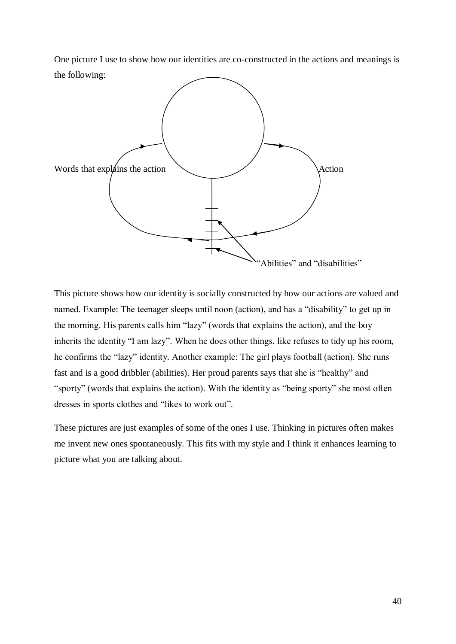One picture I use to show how our identities are co-constructed in the actions and meanings is the following:



This picture shows how our identity is socially constructed by how our actions are valued and named. Example: The teenager sleeps until noon (action), and has a "disability" to get up in the morning. His parents calls him "lazy" (words that explains the action), and the boy inherits the identity "I am lazy". When he does other things, like refuses to tidy up his room, he confirms the "lazy" identity. Another example: The girl plays football (action). She runs fast and is a good dribbler (abilities). Her proud parents says that she is "healthy" and "sporty" (words that explains the action). With the identity as "being sporty" she most often dresses in sports clothes and "likes to work out".

These pictures are just examples of some of the ones I use. Thinking in pictures often makes me invent new ones spontaneously. This fits with my style and I think it enhances learning to picture what you are talking about.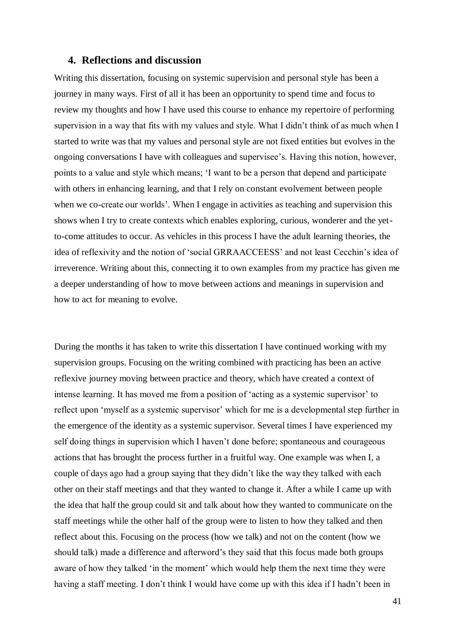## <span id="page-40-0"></span>**4. Reflections and discussion**

Writing this dissertation, focusing on systemic supervision and personal style has been a journey in many ways. First of all it has been an opportunity to spend time and focus to review my thoughts and how I have used this course to enhance my repertoire of performing supervision in a way that fits with my values and style. What I didn't think of as much when I started to write was that my values and personal style are not fixed entities but evolves in the ongoing conversations I have with colleagues and supervisee's. Having this notion, however, points to a value and style which means; 'I want to be a person that depend and participate with others in enhancing learning, and that I rely on constant evolvement between people when we co-create our worlds'. When I engage in activities as teaching and supervision this shows when I try to create contexts which enables exploring, curious, wonderer and the yetto-come attitudes to occur. As vehicles in this process I have the adult learning theories, the idea of reflexivity and the notion of 'social GRRAACCEESS' and not least Cecchin's idea of irreverence. Writing about this, connecting it to own examples from my practice has given me a deeper understanding of how to move between actions and meanings in supervision and how to act for meaning to evolve.

During the months it has taken to write this dissertation I have continued working with my supervision groups. Focusing on the writing combined with practicing has been an active reflexive journey moving between practice and theory, which have created a context of intense learning. It has moved me from a position of 'acting as a systemic supervisor' to reflect upon 'myself as a systemic supervisor' which for me is a developmental step further in the emergence of the identity as a systemic supervisor. Several times I have experienced my self doing things in supervision which I haven't done before; spontaneous and courageous actions that has brought the process further in a fruitful way. One example was when I, a couple of days ago had a group saying that they didn't like the way they talked with each other on their staff meetings and that they wanted to change it. After a while I came up with the idea that half the group could sit and talk about how they wanted to communicate on the staff meetings while the other half of the group were to listen to how they talked and then reflect about this. Focusing on the process (how we talk) and not on the content (how we should talk) made a difference and afterword's they said that this focus made both groups aware of how they talked 'in the moment' which would help them the next time they were having a staff meeting. I don't think I would have come up with this idea if I hadn't been in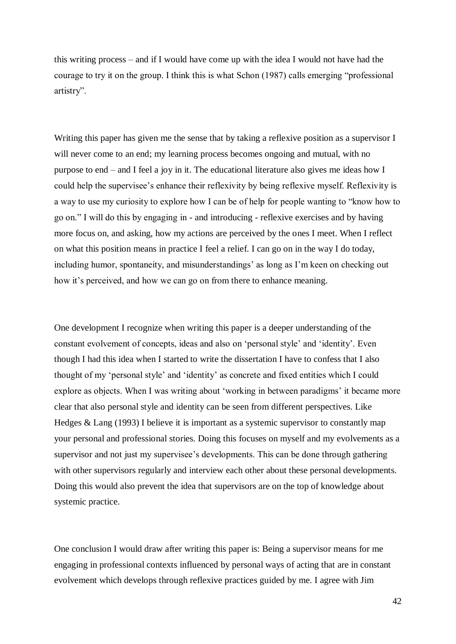this writing process – and if I would have come up with the idea I would not have had the courage to try it on the group. I think this is what Schon (1987) calls emerging "professional artistry".

Writing this paper has given me the sense that by taking a reflexive position as a supervisor I will never come to an end; my learning process becomes ongoing and mutual, with no purpose to end – and I feel a joy in it. The educational literature also gives me ideas how I could help the supervisee's enhance their reflexivity by being reflexive myself. Reflexivity is a way to use my curiosity to explore how I can be of help for people wanting to "know how to go on." I will do this by engaging in - and introducing - reflexive exercises and by having more focus on, and asking, how my actions are perceived by the ones I meet. When I reflect on what this position means in practice I feel a relief. I can go on in the way I do today, including humor, spontaneity, and misunderstandings' as long as I'm keen on checking out how it's perceived, and how we can go on from there to enhance meaning.

One development I recognize when writing this paper is a deeper understanding of the constant evolvement of concepts, ideas and also on 'personal style' and 'identity'. Even though I had this idea when I started to write the dissertation I have to confess that I also thought of my 'personal style' and 'identity' as concrete and fixed entities which I could explore as objects. When I was writing about 'working in between paradigms' it became more clear that also personal style and identity can be seen from different perspectives. Like Hedges & Lang (1993) I believe it is important as a systemic supervisor to constantly map your personal and professional stories. Doing this focuses on myself and my evolvements as a supervisor and not just my supervisee's developments. This can be done through gathering with other supervisors regularly and interview each other about these personal developments. Doing this would also prevent the idea that supervisors are on the top of knowledge about systemic practice.

One conclusion I would draw after writing this paper is: Being a supervisor means for me engaging in professional contexts influenced by personal ways of acting that are in constant evolvement which develops through reflexive practices guided by me. I agree with Jim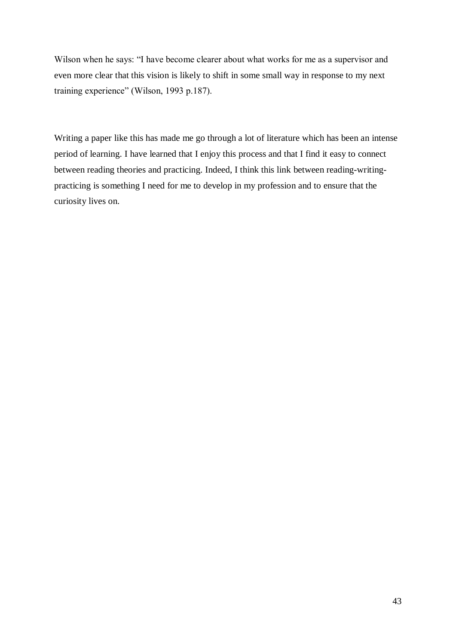Wilson when he says: "I have become clearer about what works for me as a supervisor and even more clear that this vision is likely to shift in some small way in response to my next training experience" (Wilson, 1993 p.187).

Writing a paper like this has made me go through a lot of literature which has been an intense period of learning. I have learned that I enjoy this process and that I find it easy to connect between reading theories and practicing. Indeed, I think this link between reading-writingpracticing is something I need for me to develop in my profession and to ensure that the curiosity lives on.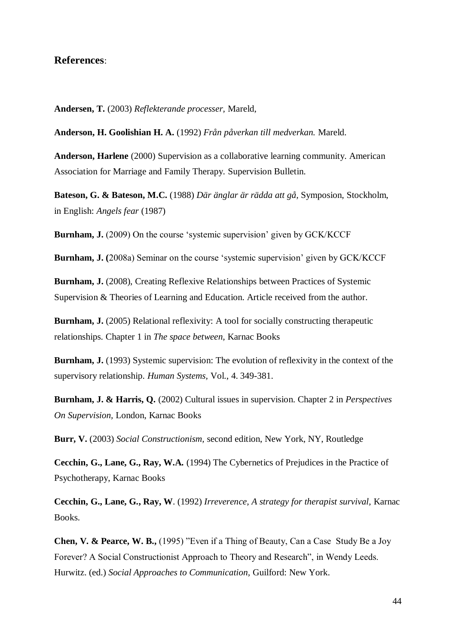# <span id="page-43-0"></span>**References**:

**Andersen, T.** (2003) *Reflekterande processer,* Mareld,

**Anderson, H. Goolishian H. A.** (1992) *Från påverkan till medverkan.* Mareld.

**Anderson, Harlene** (2000) Supervision as a collaborative learning community. American Association for Marriage and Family Therapy. Supervision Bulletin.

**Bateson, G. & Bateson, M.C.** (1988) *Där änglar är rädda att gå,* Symposion, Stockholm, in English: *Angels fear* (1987)

**Burnham, J.** (2009) On the course 'systemic supervision' given by GCK/KCCF

**Burnham, J. (**2008a) Seminar on the course 'systemic supervision' given by GCK/KCCF

**Burnham, J.** (2008), Creating Reflexive Relationships between Practices of Systemic Supervision & Theories of Learning and Education. Article received from the author.

**Burnham, J.** (2005) Relational reflexivity: A tool for socially constructing therapeutic relationships. Chapter 1 in *The space between,* Karnac Books

**Burnham, J.** (1993) Systemic supervision: The evolution of reflexivity in the context of the supervisory relationship. *Human Systems,* Vol., 4. 349-381.

**Burnham, J. & Harris, Q.** (2002) Cultural issues in supervision. Chapter 2 in *Perspectives On Supervision,* London, Karnac Books

**Burr, V.** (2003) *Social Constructionism,* second edition, New York, NY, Routledge

**Cecchin, G., Lane, G., Ray, W.A.** (1994) The Cybernetics of Prejudices in the Practice of Psychotherapy, Karnac Books

**Cecchin, G., Lane, G., Ray, W**. (1992) *Irreverence, A strategy for therapist survival,* Karnac Books.

**Chen, V. & Pearce, W. B.,** (1995) "Even if a Thing of Beauty, Can a Case Study Be a Joy Forever? A Social Constructionist Approach to Theory and Research", in Wendy Leeds. Hurwitz. (ed.) *Social Approaches to Communication,* Guilford: New York.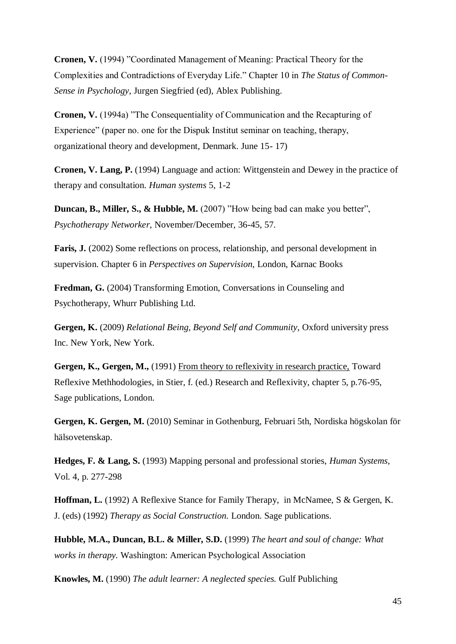**Cronen, V.** (1994) "Coordinated Management of Meaning: Practical Theory for the Complexities and Contradictions of Everyday Life." Chapter 10 in *The Status of Common-Sense in Psychology*, Jurgen Siegfried (ed), Ablex Publishing.

**Cronen, V.** (1994a) "The Consequentiality of Communication and the Recapturing of Experience" (paper no. one for the Dispuk Institut seminar on teaching, therapy, organizational theory and development, Denmark. June 15- 17)

**Cronen, V. Lang, P.** (1994) Language and action: Wittgenstein and Dewey in the practice of therapy and consultation. *Human systems* 5, 1-2

**Duncan, B., Miller, S., & Hubble, M.** (2007) "How being bad can make you better", *Psychotherapy Networker,* November/December, 36-45, 57.

**Faris, J.** (2002) Some reflections on process, relationship, and personal development in supervision. Chapter 6 in *Perspectives on Supervision,* London, Karnac Books

**Fredman, G.** (2004) Transforming Emotion, Conversations in Counseling and Psychotherapy, Whurr Publishing Ltd.

**Gergen, K.** (2009) *Relational Being, Beyond Self and Community,* Oxford university press Inc. New York, New York.

Gergen, K., Gergen, M., (1991) From theory to reflexivity in research practice, Toward Reflexive Methhodologies, in Stier, f. (ed.) Research and Reflexivity, chapter 5, p.76-95, Sage publications, London.

**Gergen, K. Gergen, M.** (2010) Seminar in Gothenburg, Februari 5th, Nordiska högskolan för hälsovetenskap.

**Hedges, F. & Lang, S.** (1993) Mapping personal and professional stories, *Human Systems,*  Vol. 4, p. 277-298

**Hoffman, L.** (1992) A Reflexive Stance for Family Therapy, in McNamee, S & Gergen, K. J. (eds) (1992) *Therapy as Social Construction.* London. Sage publications.

**Hubble, M.A., Duncan, B.L. & Miller, S.D.** (1999) *The heart and soul of change: What works in therapy.* Washington: American Psychological Association

**Knowles, M.** (1990) *The adult learner: A neglected species.* Gulf Publiching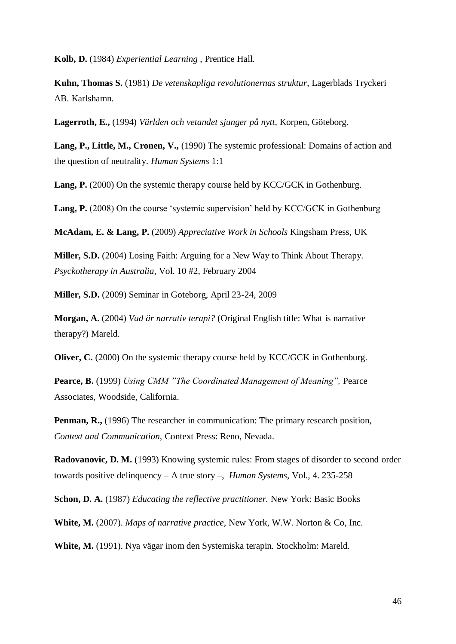**Kolb, D.** (1984) *Experiential Learning* , Prentice Hall.

**Kuhn, Thomas S.** (1981) *De vetenskapliga revolutionernas struktur*, Lagerblads Tryckeri AB. Karlshamn.

**Lagerroth, E.,** (1994) *Världen och vetandet sjunger på nytt,* Korpen, Göteborg.

**Lang, P., Little, M., Cronen, V.,** (1990) The systemic professional: Domains of action and the question of neutrality. *Human Systems* 1:1

Lang, P. (2000) On the systemic therapy course held by KCC/GCK in Gothenburg.

Lang, P. (2008) On the course 'systemic supervision' held by KCC/GCK in Gothenburg

**McAdam, E. & Lang, P.** (2009) *Appreciative Work in Schools* Kingsham Press, UK

**Miller, S.D.** (2004) Losing Faith: Arguing for a New Way to Think About Therapy. *Psyckotherapy in Australia,* Vol. 10 #2, February 2004

**Miller, S.D.** (2009) Seminar in Goteborg, April 23-24, 2009

**Morgan, A.** (2004) *Vad är narrativ terapi?* (Original English title: What is narrative therapy?) Mareld.

**Oliver, C.** (2000) On the systemic therapy course held by KCC/GCK in Gothenburg.

**Pearce, B.** (1999) *Using CMM "The Coordinated Management of Meaning",* Pearce Associates, Woodside, California.

**Penman, R.,** (1996) The researcher in communication: The primary research position, *Context and Communication,* Context Press: Reno, Nevada.

**Radovanovic, D. M.** (1993) Knowing systemic rules: From stages of disorder to second order towards positive delinquency – A true story –, *Human Systems,* Vol., 4. 235-258

**Schon, D. A.** (1987) *Educating the reflective practitioner.* New York: Basic Books

**White, M.** (2007). *Maps of narrative practice,* New York, W.W. Norton & Co, Inc.

**White, M.** (1991). Nya vägar inom den Systemiska terapin. Stockholm: Mareld.